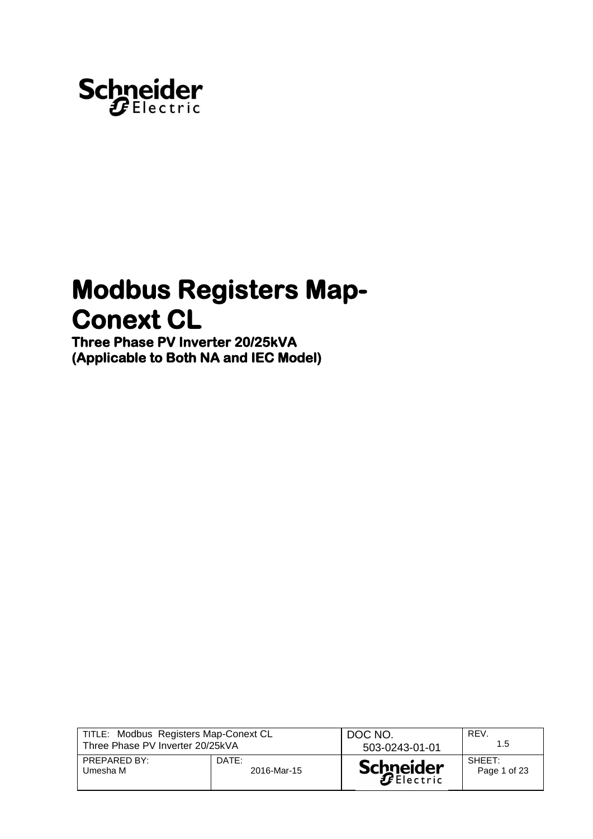

# **Modbus Registers Map-Conext CL**

**Three Phase PV Inverter 20/25kVA (Applicable to Both NA and IEC Model)** 

| TITLE: Modbus Registers Map-Conext CL |             | DOC NO.          | REV.         |
|---------------------------------------|-------------|------------------|--------------|
| Three Phase PV Inverter 20/25kVA      |             | 503-0243-01-01   | 1.5          |
| PREPARED BY:                          | DATE:       | <b>Schneider</b> | SHEFT:       |
| Umesha M                              | 2016-Mar-15 |                  | Page 1 of 23 |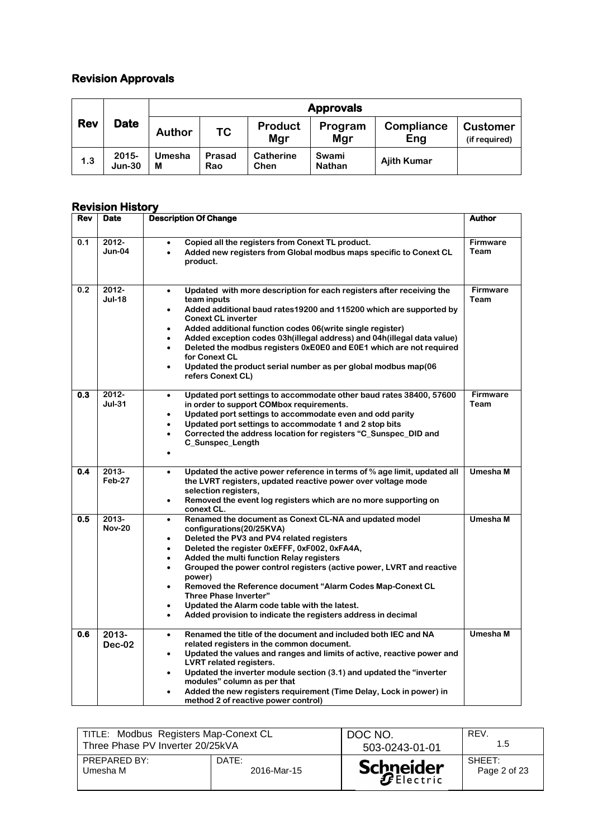## **Revision Approvals**

|     |                      | <b>Approvals</b> |               |                          |                        |                    |                                  |
|-----|----------------------|------------------|---------------|--------------------------|------------------------|--------------------|----------------------------------|
| Rev | <b>Date</b>          | <b>Author</b>    | ТC            | Product<br>Mgr           | Program<br>Mgr         | Compliance<br>Eng  | <b>Customer</b><br>(if required) |
| 1.3 | $2015 -$<br>$Jun-30$ | Umesha<br>M      | Prasad<br>Rao | <b>Catherine</b><br>Chen | Swami<br><b>Nathan</b> | <b>Ajith Kumar</b> |                                  |

#### **Revision History**

| Rev | Date                   | <b>Description Of Change</b>                                                                                                                                                                                                                                                                                                                                                                                                                                                                                                                                                                                                        | Author                  |
|-----|------------------------|-------------------------------------------------------------------------------------------------------------------------------------------------------------------------------------------------------------------------------------------------------------------------------------------------------------------------------------------------------------------------------------------------------------------------------------------------------------------------------------------------------------------------------------------------------------------------------------------------------------------------------------|-------------------------|
| 0.1 | 2012-<br>$Jun-04$      | Copied all the registers from Conext TL product.<br>$\bullet$<br>Added new registers from Global modbus maps specific to Conext CL<br>$\bullet$<br>product.                                                                                                                                                                                                                                                                                                                                                                                                                                                                         | <b>Firmware</b><br>Team |
| 0.2 | 2012-<br><b>Jul-18</b> | Updated with more description for each registers after receiving the<br>$\bullet$<br>team inputs<br>Added additional baud rates19200 and 115200 which are supported by<br>$\bullet$<br><b>Conext CL inverter</b><br>Added additional function codes 06(write single register)<br>Added exception codes 03h(illegal address) and 04h(illegal data value)<br>$\bullet$<br>Deleted the modbus registers 0xE0E0 and E0E1 which are not required<br>$\bullet$<br>for Conext CL<br>Updated the product serial number as per global modbus map(06<br>$\bullet$<br>refers Conext CL)                                                        | <b>Firmware</b><br>Team |
| 0.3 | 2012-<br>$Jul-31$      | Updated port settings to accommodate other baud rates 38400, 57600<br>$\bullet$<br>in order to support COMbox requirements.<br>Updated port settings to accommodate even and odd parity<br>$\bullet$<br>Updated port settings to accommodate 1 and 2 stop bits<br>$\bullet$<br>Corrected the address location for registers "C Sunspec DID and<br>$\bullet$<br>C_Sunspec_Length                                                                                                                                                                                                                                                     | <b>Firmware</b><br>Team |
| 0.4 | $2013 -$<br>Feb-27     | Updated the active power reference in terms of % age limit, updated all<br>$\bullet$<br>the LVRT registers, updated reactive power over voltage mode<br>selection registers,<br>Removed the event log registers which are no more supporting on<br>$\bullet$<br>conext CL.                                                                                                                                                                                                                                                                                                                                                          | Umesha M                |
| 0.5 | 2013-<br><b>Nov-20</b> | Renamed the document as Conext CL-NA and updated model<br>$\bullet$<br>configurations(20/25KVA)<br>Deleted the PV3 and PV4 related registers<br>$\bullet$<br>Deleted the register 0xEFFF, 0xF002, 0xFA4A,<br>$\bullet$<br>Added the multi function Relay registers<br>$\bullet$<br>Grouped the power control registers (active power, LVRT and reactive<br>$\bullet$<br>power)<br>Removed the Reference document "Alarm Codes Map-Conext CL<br>$\bullet$<br><b>Three Phase Inverter"</b><br>Updated the Alarm code table with the latest.<br>$\bullet$<br>Added provision to indicate the registers address in decimal<br>$\bullet$ | Umesha M                |
| 0.6 | $2013 -$<br>$Dec-02$   | Renamed the title of the document and included both IEC and NA<br>$\bullet$<br>related registers in the common document.<br>Updated the values and ranges and limits of active, reactive power and<br>$\bullet$<br><b>LVRT related registers.</b><br>Updated the inverter module section (3.1) and updated the "inverter<br>modules" column as per that<br>Added the new registers requirement (Time Delay, Lock in power) in<br>$\bullet$<br>method 2 of reactive power control)                                                                                                                                                   | Umesha M                |

| TITLE: Modbus Registers Map-Conext CL |             | DOC NO.          | REV.         |
|---------------------------------------|-------------|------------------|--------------|
| Three Phase PV Inverter 20/25kVA      |             | 503-0243-01-01   | 1.5          |
| PREPARED BY:                          | DATE:       | <b>Schneider</b> | SHEFT:       |
| Umesha M                              | 2016-Mar-15 |                  | Page 2 of 23 |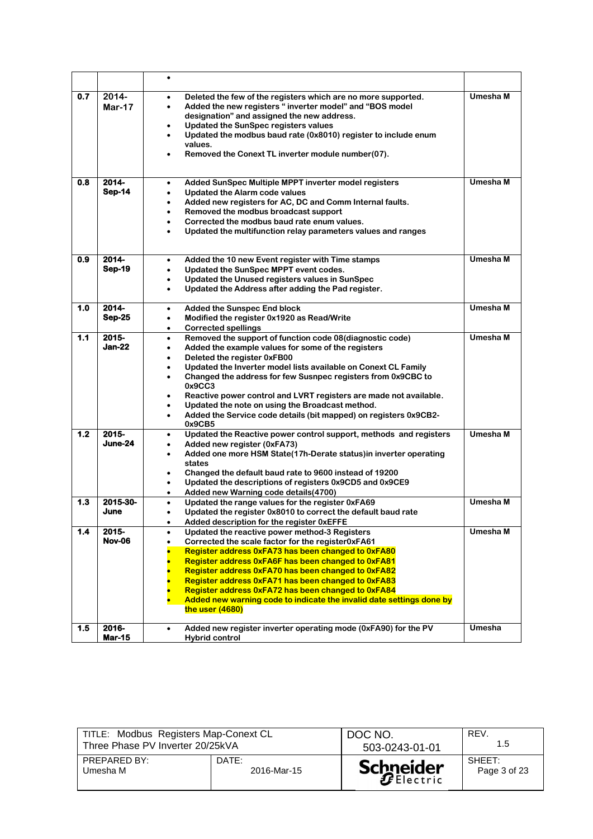|     |                        | $\bullet$                                                                                                                                                                                                                                                                                                                                                                                                                                                                                                                                                                                  |          |
|-----|------------------------|--------------------------------------------------------------------------------------------------------------------------------------------------------------------------------------------------------------------------------------------------------------------------------------------------------------------------------------------------------------------------------------------------------------------------------------------------------------------------------------------------------------------------------------------------------------------------------------------|----------|
| 0.7 | 2014-<br>$Mar-17$      | Deleted the few of the registers which are no more supported.<br>$\bullet$<br>Added the new registers "inverter model" and "BOS model<br>$\bullet$<br>designation" and assigned the new address.<br><b>Updated the SunSpec registers values</b><br>Updated the modbus baud rate (0x8010) register to include enum<br>$\bullet$<br>values.<br>Removed the Conext TL inverter module number(07).                                                                                                                                                                                             | Umesha M |
| 0.8 | 2014-<br><b>Sep-14</b> | Added SunSpec Multiple MPPT inverter model registers<br>$\bullet$<br><b>Updated the Alarm code values</b><br>$\bullet$<br>Added new registers for AC, DC and Comm Internal faults.<br>$\bullet$<br>Removed the modbus broadcast support<br>$\bullet$<br>Corrected the modbus baud rate enum values.<br>$\bullet$<br>Updated the multifunction relay parameters values and ranges<br>$\bullet$                                                                                                                                                                                              | Umesha M |
| 0.9 | 2014-<br><b>Sep-19</b> | Added the 10 new Event register with Time stamps<br>$\bullet$<br>Updated the SunSpec MPPT event codes.<br>$\bullet$<br>Updated the Unused registers values in SunSpec<br>$\bullet$<br>Updated the Address after adding the Pad register.<br>$\bullet$                                                                                                                                                                                                                                                                                                                                      | Umesha M |
| 1.0 | 2014-<br><b>Sep-25</b> | <b>Added the Sunspec End block</b><br>$\bullet$<br>Modified the register 0x1920 as Read/Write<br>$\bullet$<br><b>Corrected spellings</b><br>$\bullet$                                                                                                                                                                                                                                                                                                                                                                                                                                      | Umesha M |
| 1.1 | $2015 -$<br>Jan-22     | Removed the support of function code 08(diagnostic code)<br>$\bullet$<br>Added the example values for some of the registers<br>$\bullet$<br>Deleted the register 0xFB00<br>$\bullet$<br>Updated the Inverter model lists available on Conext CL Family<br>$\bullet$<br>Changed the address for few Susnpec registers from 0x9CBC to<br>$\bullet$<br>0x9CC3<br>Reactive power control and LVRT registers are made not available.<br>Updated the note on using the Broadcast method.<br>$\bullet$<br>Added the Service code details (bit mapped) on registers 0x9CB2-<br>$\bullet$<br>0x9CB5 | Umesha M |
| 1.2 | $2015 -$<br>June-24    | Updated the Reactive power control support, methods and registers<br>$\bullet$<br>Added new register (0xFA73)<br>$\bullet$<br>Added one more HSM State(17h-Derate status) in inverter operating<br>٠<br>states<br>Changed the default baud rate to 9600 instead of 19200<br>$\bullet$<br>Updated the descriptions of registers 0x9CD5 and 0x9CE9<br>$\bullet$<br>Added new Warning code details (4700)<br>$\bullet$                                                                                                                                                                        | Umesha M |
| 1.3 | 2015-30-<br>June       | Updated the range values for the register 0xFA69<br>$\bullet$<br>Updated the register 0x8010 to correct the default baud rate<br>$\bullet$<br>Added description for the register 0xEFFE<br>$\bullet$                                                                                                                                                                                                                                                                                                                                                                                       | Umesha M |
| 1.4 | 2015-<br><b>Nov-06</b> | Updated the reactive power method-3 Registers<br>$\bullet$<br>Corrected the scale factor for the register0xFA61<br>٠<br>Register address 0xFA73 has been changed to 0xFA80<br>Register address 0xFA6F has been changed to 0xFA81<br>Register address 0xFA70 has been changed to 0xFA82<br>Register address 0xFA71 has been changed to 0xFA83<br>Register address 0xFA72 has been changed to 0xFA84<br>Added new warning code to indicate the invalid date settings done by<br>the user $(4680)$                                                                                            | Umesha M |
| 1.5 | 2016-<br><b>Mar-15</b> | Added new register inverter operating mode (0xFA90) for the PV<br>$\bullet$<br>Hybrid control                                                                                                                                                                                                                                                                                                                                                                                                                                                                                              | Umesha   |

| TITLE: Modbus Registers Map-Conext CL |             | DOC NO.          | REV.         |
|---------------------------------------|-------------|------------------|--------------|
| Three Phase PV Inverter 20/25kVA      |             | 503-0243-01-01   | 1.5          |
| PREPARED BY:                          | DATE:       | <b>Schneider</b> | SHEET:       |
| Umesha M                              | 2016-Mar-15 |                  | Page 3 of 23 |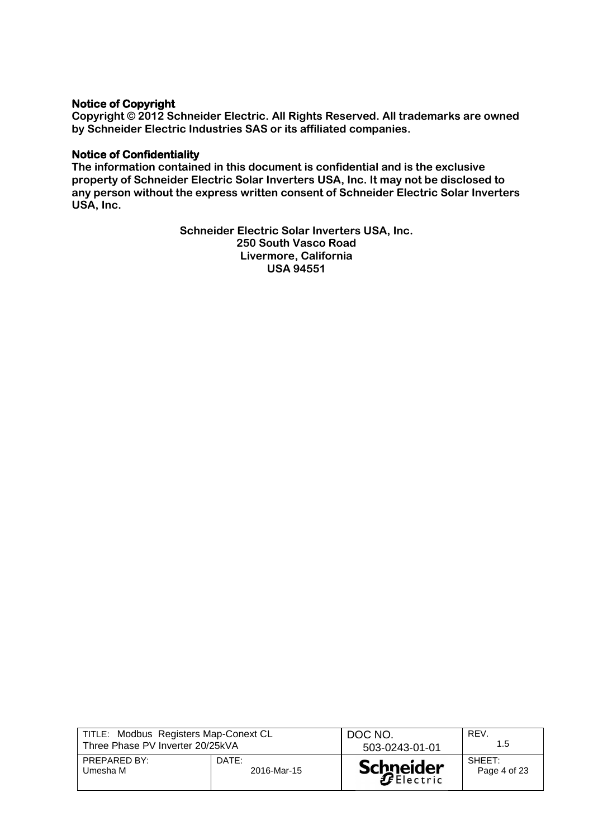#### **Notice of Copyright**

**Copyright © 2012 Schneider Electric. All Rights Reserved. All trademarks are owned by Schneider Electric Industries SAS or its affiliated companies.**

#### **Notice of Confidentiality**

**The information contained in this document is confidential and is the exclusive property of Schneider Electric Solar Inverters USA, Inc. It may not be disclosed to any person without the express written consent of Schneider Electric Solar Inverters USA, Inc.**

> **Schneider Electric Solar Inverters USA, Inc. 250 South Vasco Road Livermore, California USA 94551**

| TITLE: Modbus Registers Map-Conext CL |             | DOC NO.          | REV.         |
|---------------------------------------|-------------|------------------|--------------|
| Three Phase PV Inverter 20/25kVA      |             | 503-0243-01-01   | 1.5          |
| PREPARED BY:                          | DATE:       | <b>Schneider</b> | SHEFT:       |
| Umesha M                              | 2016-Mar-15 |                  | Page 4 of 23 |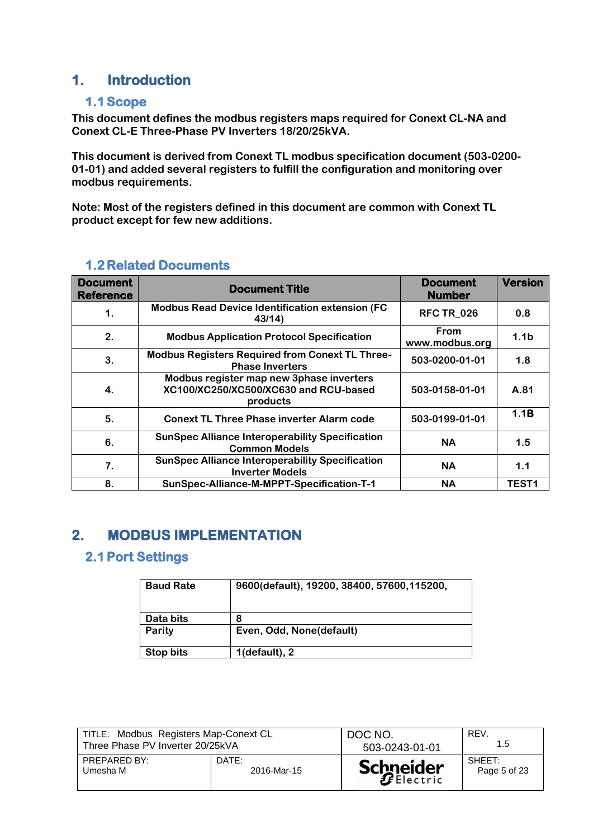# **1. Introduction**

## **1.1Scope**

**This document defines the modbus registers maps required for Conext CL-NA and Conext CL-E Three-Phase PV Inverters 18/20/25kVA.**

**This document is derived from Conext TL modbus specification document (503-0200- 01-01) and added several registers to fulfill the configuration and monitoring over modbus requirements.**

**Note: Most of the registers defined in this document are common with Conext TL product except for few new additions.**

| <b>Document</b><br><b>Reference</b> | <b>Document Title</b>                                                                         | <b>Document</b><br><b>Number</b> | <b>Version</b>   |
|-------------------------------------|-----------------------------------------------------------------------------------------------|----------------------------------|------------------|
| 1.                                  | <b>Modbus Read Device Identification extension (FC)</b><br>43/14                              | <b>RFC TR_026</b>                | 0.8              |
| 2.                                  | <b>Modbus Application Protocol Specification</b>                                              | From<br>www.modbus.org           | 1.1 <sub>b</sub> |
| 3.                                  | <b>Modbus Registers Required from Conext TL Three-</b><br><b>Phase Inverters</b>              | 503-0200-01-01                   | 1.8              |
| 4.                                  | Modbus register map new 3phase inverters<br>XC100/XC250/XC500/XC630 and RCU-based<br>products | 503-0158-01-01                   | A.81             |
| 5.                                  | <b>Conext TL Three Phase inverter Alarm code</b>                                              | 503-0199-01-01                   | 1.1B             |
| 6.                                  | <b>SunSpec Alliance Interoperability Specification</b><br><b>Common Models</b>                | <b>NA</b>                        | 1.5              |
| 7.                                  | <b>SunSpec Alliance Interoperability Specification</b><br><b>Inverter Models</b>              | <b>NA</b>                        | 1.1              |
| 8.                                  | SunSpec-Alliance-M-MPPT-Specification-T-1                                                     | <b>NA</b>                        | <b>TEST1</b>     |

## **1.2 Related Documents**

# **2. MODBUS IMPLEMENTATION**

## **2.1Port Settings**

| <b>Baud Rate</b> | 9600(default), 19200, 38400, 57600, 115200, |
|------------------|---------------------------------------------|
| Data bits        | 8                                           |
| Parity           | Even, Odd, None(default)                    |
| Stop bits        | 1(default), 2                               |

| TITLE: Modbus Registers Map-Conext CL |             | DOC NO.          | REV.         |
|---------------------------------------|-------------|------------------|--------------|
| Three Phase PV Inverter 20/25kVA      |             | 503-0243-01-01   | 1.5          |
| PREPARED BY:                          | DATE:       | <b>Schneider</b> | SHEET:       |
| Umesha M                              | 2016-Mar-15 |                  | Page 5 of 23 |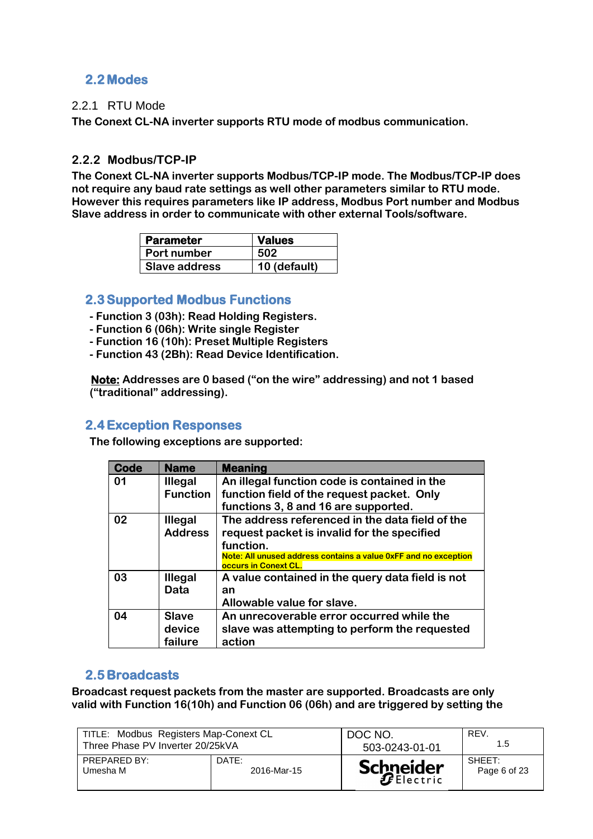## **2.2 Modes**

## 2.2.1 RTU Mode

**The Conext CL-NA inverter supports RTU mode of modbus communication.**

## **2.2.2 Modbus/TCP-IP**

**The Conext CL-NA inverter supports Modbus/TCP-IP mode. The Modbus/TCP-IP does not require any baud rate settings as well other parameters similar to RTU mode. However this requires parameters like IP address, Modbus Port number and Modbus Slave address in order to communicate with other external Tools/software.**

| <b>Parameter</b>     | <b>Values</b> |
|----------------------|---------------|
| <b>Port number</b>   | 502           |
| <b>Slave address</b> | 10 (default)  |

## **2.3Supported Modbus Functions**

- **- Function 3 (03h): Read Holding Registers.**
- **- Function 6 (06h): Write single Register**
- **- Function 16 (10h): Preset Multiple Registers**
- **- Function 43 (2Bh): Read Device Identification.**

 **Note: Addresses are 0 based ("on the wire" addressing) and not 1 based ("traditional" addressing).**

## **2.4Exception Responses**

**The following exceptions are supported:**

| Code | <b>Name</b>     | <b>Meaning</b>                                                                          |
|------|-----------------|-----------------------------------------------------------------------------------------|
| 01   | <b>Illegal</b>  | An illegal function code is contained in the                                            |
|      | <b>Function</b> | function field of the request packet. Only                                              |
|      |                 | functions 3, 8 and 16 are supported.                                                    |
| 02   | <b>Illegal</b>  | The address referenced in the data field of the                                         |
|      | <b>Address</b>  | request packet is invalid for the specified                                             |
|      |                 | function.                                                                               |
|      |                 | Note: All unused address contains a value 0xFF and no exception<br>occurs in Conext CL. |
| 03   | Illegal         | A value contained in the query data field is not                                        |
|      | Data            | an                                                                                      |
|      |                 | Allowable value for slave.                                                              |
| 04   | <b>Slave</b>    | An unrecoverable error occurred while the                                               |
|      | device          | slave was attempting to perform the requested                                           |
|      | failure         | action                                                                                  |

## **2.5 Broadcasts**

**Broadcast request packets from the master are supported. Broadcasts are only valid with Function 16(10h) and Function 06 (06h) and are triggered by setting the** 

| TITLE: Modbus Registers Map-Conext CL |             | DOC NO.          | REV.         |
|---------------------------------------|-------------|------------------|--------------|
| Three Phase PV Inverter 20/25kVA      |             | 503-0243-01-01   | 1.5          |
| PREPARED BY:                          | DATE:       | <b>Schneider</b> | SHEET:       |
| Umesha M                              | 2016-Mar-15 |                  | Page 6 of 23 |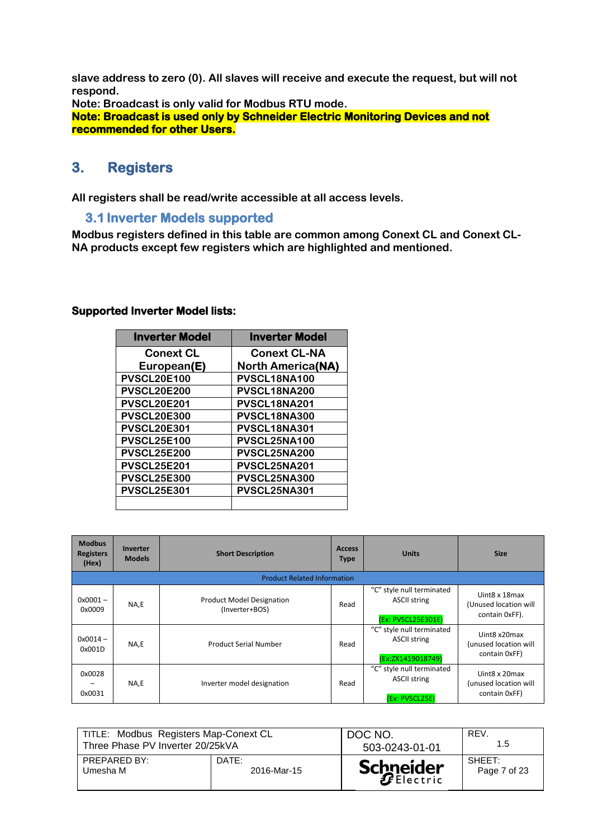**slave address to zero (0). All slaves will receive and execute the request, but will not respond.**

**Note: Broadcast is only valid for Modbus RTU mode.**

**Note: Broadcast is used only by Schneider Electric Monitoring Devices and not recommended for other Users.** 

## **3. Registers**

**All registers shall be read/write accessible at all access levels.** 

#### **3.1 Inverter Models supported**

**Modbus registers defined in this table are common among Conext CL and Conext CL-NA products except few registers which are highlighted and mentioned.**

#### **Supported Inverter Model lists:**

| <b>Inverter Model</b> | <b>Inverter Model</b>    |
|-----------------------|--------------------------|
| <b>Conext CL</b>      | <b>Conext CL-NA</b>      |
| European(E)           | <b>North America(NA)</b> |
| <b>PVSCL20E100</b>    | PVSCL18NA100             |
| <b>PVSCL20E200</b>    | PVSCL18NA200             |
| <b>PVSCL20E201</b>    | PVSCL18NA201             |
| <b>PVSCL20E300</b>    | PVSCL18NA300             |
| <b>PVSCL20E301</b>    | PVSCL18NA301             |
| <b>PVSCL25E100</b>    | PVSCL25NA100             |
| <b>PVSCL25E200</b>    | PVSCL25NA200             |
| <b>PVSCL25E201</b>    | PVSCL25NA201             |
| <b>PVSCL25E300</b>    | PVSCL25NA300             |
| <b>PVSCL25E301</b>    | PVSCL25NA301             |
|                       |                          |

| <b>Modbus</b><br><b>Registers</b><br>(Hex) | <b>Inverter</b><br><b>Models</b> | <b>Short Description</b>                           | <b>Access</b><br><b>Type</b> | <b>Units</b>                                                           | <b>Size</b>                                               |
|--------------------------------------------|----------------------------------|----------------------------------------------------|------------------------------|------------------------------------------------------------------------|-----------------------------------------------------------|
|                                            |                                  | <b>Product Related Information</b>                 |                              |                                                                        |                                                           |
| $0x0001 -$<br>0x0009                       | NA,E                             | <b>Product Model Designation</b><br>(Inverter+BOS) | Read                         | "C" style null terminated<br><b>ASCII string</b><br>(Ex: PVSCL25E301E) | Uint8 x 18 max<br>(Unused location will<br>contain OxFF). |
| $0x0014 -$<br>0x001D                       | NA,E                             | <b>Product Serial Number</b>                       | Read                         | "C" style null terminated<br><b>ASCII string</b><br>(Ex:ZX1419018749)  | Uint8 x20max<br>(unused location will<br>contain 0xFF)    |
| 0x0028<br>0x0031                           | NA,E                             | Inverter model designation                         | Read                         | "C" style null terminated<br><b>ASCII string</b><br>(Ex: PVSCL25E)     | Uint8 x 20max<br>(unused location will<br>contain 0xFF)   |

| TITLE: Modbus Registers Map-Conext CL |             | DOC NO.          | REV.         |
|---------------------------------------|-------------|------------------|--------------|
| Three Phase PV Inverter 20/25kVA      |             | 503-0243-01-01   | 1.5          |
| PREPARED BY:                          | DATE:       | <b>Schneider</b> | SHEFT:       |
| Umesha M                              | 2016-Mar-15 |                  | Page 7 of 23 |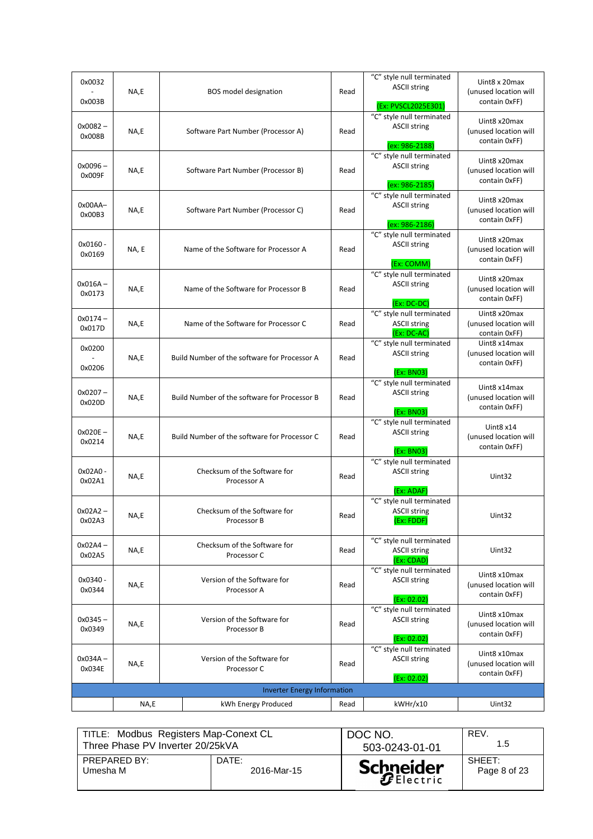| 0x0032<br>0x003B     | NA,E  | BOS model designation                        | Read | "C" style null terminated<br><b>ASCII string</b><br>(Ex: PVSCL2025E301 | Uint8 x 20max<br>(unused location will<br>contain 0xFF) |
|----------------------|-------|----------------------------------------------|------|------------------------------------------------------------------------|---------------------------------------------------------|
| 0x0082-<br>0x008B    | NA,E  | Software Part Number (Processor A)           | Read | "C" style null terminated<br><b>ASCII string</b><br>(ex: 986-2188)     | Uint8 x20max<br>(unused location will<br>contain 0xFF)  |
| $0x0096 -$<br>0x009F | NA,E  | Software Part Number (Processor B)           | Read | "C" style null terminated<br><b>ASCII string</b><br>(ex: 986-2185)     | Uint8 x20max<br>(unused location will<br>contain 0xFF)  |
| Ox00AA-<br>0x00B3    | NA,E  | Software Part Number (Processor C)           | Read | "C" style null terminated<br><b>ASCII string</b><br>(ex: 986-2186)     | Uint8 x20max<br>(unused location will<br>contain 0xFF)  |
| 0x0160-<br>0x0169    | NA, E | Name of the Software for Processor A         | Read | "C" style null terminated<br><b>ASCII string</b><br>(Ex: COMM)         | Uint8 x20max<br>(unused location will<br>contain 0xFF)  |
| $0x016A -$<br>0x0173 | NA,E  | Name of the Software for Processor B         | Read | "C" style null terminated<br><b>ASCII string</b><br>$(Ex:DC-DC)$       | Uint8 x20max<br>(unused location will<br>contain 0xFF)  |
| $0x0174 -$<br>0x017D | NA,E  | Name of the Software for Processor C         | Read | "C" style null terminated<br><b>ASCII string</b><br>(Ex: DC-AC)        | Uint8 x20max<br>(unused location will<br>contain 0xFF)  |
| 0x0200<br>0x0206     | NA,E  | Build Number of the software for Processor A | Read | "C" style null terminated<br><b>ASCII string</b><br>(Ex: BN03)         | Uint8 x14max<br>(unused location will<br>contain 0xFF)  |
| $0x0207 -$<br>0x020D | NA,E  | Build Number of the software for Processor B | Read | "C" style null terminated<br><b>ASCII string</b><br>(Ex: BN03)         | Uint8 x14max<br>(unused location will<br>contain 0xFF)  |
| 0x020E-<br>0x0214    | NA,E  | Build Number of the software for Processor C | Read | "C" style null terminated<br><b>ASCII string</b><br>(Ex: BN03)         | Uint $8x14$<br>(unused location will<br>contain 0xFF)   |
| 0x02A0-<br>0x02A1    | NA,E  | Checksum of the Software for<br>Processor A  | Read | "C" style null terminated<br><b>ASCII string</b><br>(Ex: ADAF)         | Uint32                                                  |
| $0x02A2 -$<br>0x02A3 | NA,E  | Checksum of the Software for<br>Processor B  | Read | "C" style null terminated<br><b>ASCII string</b><br>(Ex: FDDF)         | Uint32                                                  |
| $0x02A4 -$<br>0x02A5 | NA,E  | Checksum of the Software for<br>Processor C  | Read | "C" style null terminated<br><b>ASCII string</b><br>(Ex: CDAD)         | Uint32                                                  |
| 0x0340-<br>0x0344    | NA,E  | Version of the Software for<br>Processor A   | Read | "C" style null terminated<br><b>ASCII string</b><br>(Ex: 02.02)        | Uint8 x10max<br>(unused location will<br>contain 0xFF)  |
| $0x0345 -$<br>0x0349 | NA,E  | Version of the Software for<br>Processor B   | Read | "C" style null terminated<br><b>ASCII string</b><br>(Ex: 02.02)        | Uint8 x10max<br>(unused location will<br>contain 0xFF)  |
| 0x034A –<br>0x034E   | NA,E  | Version of the Software for<br>Processor C   | Read | "C" style null terminated<br><b>ASCII string</b><br>(Ex: 02.02)        | Uint8 x10max<br>(unused location will<br>contain 0xFF)  |
|                      |       | <b>Inverter Energy Information</b>           |      |                                                                        |                                                         |
|                      | NA,E  | kWh Energy Produced                          | Read | kWHr/x10                                                               | Uint32                                                  |
|                      |       |                                              |      |                                                                        |                                                         |

| TITLE: Modbus Registers Map-Conext CL |             | DOC NO.          | REV.         |
|---------------------------------------|-------------|------------------|--------------|
| Three Phase PV Inverter 20/25kVA      |             | 503-0243-01-01   | 1.5          |
| PREPARED BY:                          | DATE:       | <b>Schneider</b> | SHEET:       |
| Umesha M                              | 2016-Mar-15 |                  | Page 8 of 23 |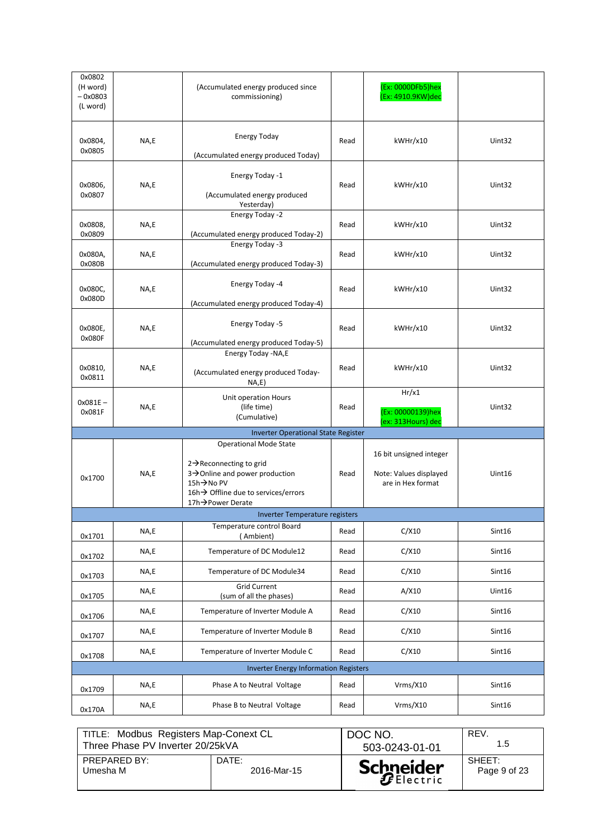| 0x0802<br>(H word)<br>$-0x0803$<br>(L word) |      | (Accumulated energy produced since<br>commissioning)                                                                                                                           |      | (Ex: 0000DFb5)hex<br>(Ex: 4910.9KW)dec                                 |        |
|---------------------------------------------|------|--------------------------------------------------------------------------------------------------------------------------------------------------------------------------------|------|------------------------------------------------------------------------|--------|
| 0x0804,<br>0x0805                           | NA,E | <b>Energy Today</b><br>(Accumulated energy produced Today)                                                                                                                     | Read | kWHr/x10                                                               | Uint32 |
| 0x0806,<br>0x0807                           | NA,E | Energy Today -1<br>(Accumulated energy produced<br>Yesterday)                                                                                                                  | Read | kWHr/x10                                                               | Uint32 |
| 0x0808,<br>0x0809                           | NA,E | Energy Today -2<br>(Accumulated energy produced Today-2)                                                                                                                       | Read | kWHr/x10                                                               | Uint32 |
| 0x080A,<br>0x080B                           | NA,E | Energy Today -3<br>(Accumulated energy produced Today-3)                                                                                                                       | Read | kWHr/x10                                                               | Uint32 |
| 0x080C,<br>0x080D                           | NA,E | Energy Today -4<br>(Accumulated energy produced Today-4)                                                                                                                       | Read | kWHr/x10                                                               | Uint32 |
| 0x080E,<br>0x080F                           | NA,E | Energy Today -5<br>(Accumulated energy produced Today-5)                                                                                                                       | Read | kWHr/x10                                                               | Uint32 |
| 0x0810,<br>0x0811                           | NA,E | Energy Today -NA,E<br>(Accumulated energy produced Today-<br>NA, E)                                                                                                            | Read | kWHr/x10                                                               | Uint32 |
| $0x081E -$<br>0x081F                        | NA,E | Unit operation Hours<br>(life time)<br>(Cumulative)                                                                                                                            | Read | Hr/x1<br>(Ex: 00000139)hex<br>(ex: 313Hours) dec                       | Uint32 |
|                                             |      | <b>Inverter Operational State Register</b>                                                                                                                                     |      |                                                                        |        |
| 0x1700                                      | NA,E | <b>Operational Mode State</b><br>$2 \rightarrow$ Reconnecting to grid<br>3→Online and power production<br>15h→No PV<br>16h→ Offline due to services/errors<br>17h→Power Derate | Read | 16 bit unsigned integer<br>Note: Values displayed<br>are in Hex format | Uint16 |
|                                             |      | Inverter Temperature registers                                                                                                                                                 |      |                                                                        |        |
| 0x1701                                      | NA,E | Temperature control Board<br>(Ambient)                                                                                                                                         | Read | C/X10                                                                  | Sint16 |
| 0x1702                                      | NA,E | Temperature of DC Module12                                                                                                                                                     | Read | C/X10                                                                  | Sint16 |
| 0x1703                                      | NA,E | Temperature of DC Module34                                                                                                                                                     | Read | C/X10                                                                  | Sint16 |
| 0x1705                                      | NA,E | <b>Grid Current</b><br>(sum of all the phases)                                                                                                                                 | Read | A/X10                                                                  | Uint16 |
| 0x1706                                      | NA,E | Temperature of Inverter Module A                                                                                                                                               | Read | C/X10                                                                  | Sint16 |
| 0x1707                                      | NA,E | Temperature of Inverter Module B                                                                                                                                               | Read | C/X10                                                                  | Sint16 |
| 0x1708                                      | NA,E | Temperature of Inverter Module C                                                                                                                                               | Read | C/X10                                                                  | Sint16 |
|                                             |      | <b>Inverter Energy Information Registers</b>                                                                                                                                   |      |                                                                        |        |
| 0x1709                                      | NA,E | Phase A to Neutral Voltage                                                                                                                                                     | Read | Vrms/X10                                                               | Sint16 |
| 0x170A                                      | NA,E | Phase B to Neutral Voltage                                                                                                                                                     | Read | Vrms/X10                                                               | Sint16 |

| TITLE: Modbus Registers Map-Conext CL |             | DOC NO.          | REV.         |
|---------------------------------------|-------------|------------------|--------------|
| Three Phase PV Inverter 20/25kVA      |             | 503-0243-01-01   | 1.5          |
| PREPARED BY:                          | DATE:       | <b>Schneider</b> | SHEET:       |
| Umesha M                              | 2016-Mar-15 |                  | Page 9 of 23 |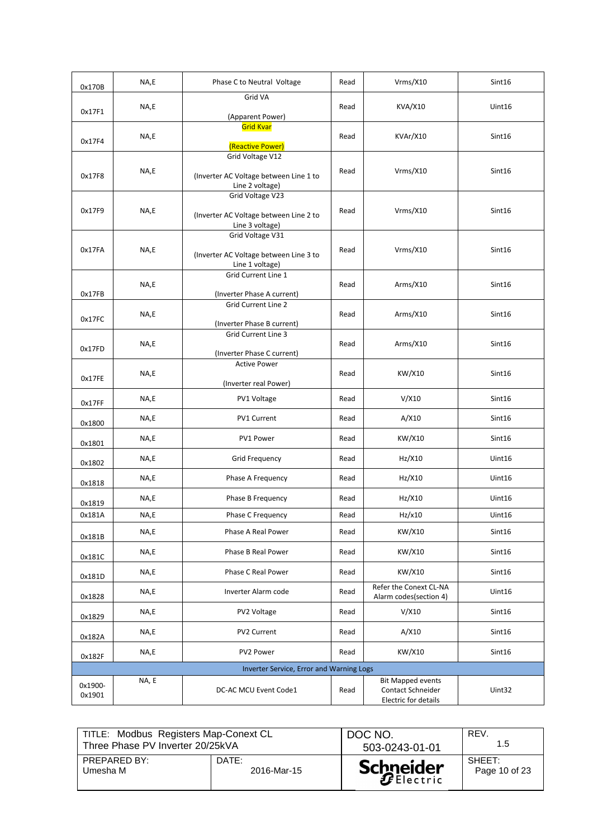| 0x170B            | NA,E  | Phase C to Neutral Voltage                                                    | Read | Vrms/X10                                                                     | Sint16 |
|-------------------|-------|-------------------------------------------------------------------------------|------|------------------------------------------------------------------------------|--------|
| 0x17F1            | NA,E  | Grid VA<br>(Apparent Power)                                                   | Read | <b>KVA/X10</b>                                                               | Uint16 |
| 0x17F4            | NA,E  | <b>Grid Kvar</b><br>(Reactive Power)                                          | Read | KVAr/X10                                                                     | Sint16 |
| 0x17F8            | NA,E  | Grid Voltage V12<br>(Inverter AC Voltage between Line 1 to<br>Line 2 voltage) | Read | Vrms/X10                                                                     | Sint16 |
| 0x17F9            | NA,E  | Grid Voltage V23<br>(Inverter AC Voltage between Line 2 to<br>Line 3 voltage) | Read | $V$ rms/ $X$ 10                                                              | Sint16 |
| 0x17FA            | NA,E  | Grid Voltage V31<br>(Inverter AC Voltage between Line 3 to<br>Line 1 voltage) | Read | Vrms/X10                                                                     | Sint16 |
| 0x17FB            | NA,E  | Grid Current Line 1<br>(Inverter Phase A current)                             | Read | Arms/X10                                                                     | Sint16 |
| 0x17FC            | NA,E  | Grid Current Line 2<br>(Inverter Phase B current)                             | Read | Arms/X10                                                                     | Sint16 |
| 0x17FD            | NA,E  | <b>Grid Current Line 3</b><br>(Inverter Phase C current)                      | Read | Arms/X10                                                                     | Sint16 |
| 0x17FE            | NA,E  | <b>Active Power</b><br>(Inverter real Power)                                  | Read | KW/X10                                                                       | Sint16 |
| 0x17FF            | NA,E  | PV1 Voltage                                                                   | Read | V/X10                                                                        | Sint16 |
| 0x1800            | NA,E  | <b>PV1 Current</b>                                                            | Read | A/X10                                                                        | Sint16 |
| 0x1801            | NA,E  | PV1 Power                                                                     | Read | KW/X10                                                                       | Sint16 |
| 0x1802            | NA,E  | Grid Frequency                                                                | Read | Hz/X10                                                                       | Uint16 |
| 0x1818            | NA,E  | Phase A Frequency                                                             | Read | Hz/X10                                                                       | Uint16 |
| 0x1819            | NA,E  | Phase B Frequency                                                             | Read | Hz/X10                                                                       | Uint16 |
| 0x181A            | NA,E  | Phase C Frequency                                                             | Read | Hz/x10                                                                       | Uint16 |
| 0x181B            | NA,E  | Phase A Real Power                                                            | Read | KW/X10                                                                       | Sint16 |
| 0x181C            | NA,E  | Phase B Real Power                                                            | Read | KW/X10                                                                       | Sint16 |
| 0x181D            | NA,E  | Phase C Real Power                                                            | Read | KW/X10                                                                       | Sint16 |
| 0x1828            | NA,E  | Inverter Alarm code                                                           | Read | Refer the Conext CL-NA<br>Alarm codes(section 4)                             | Uint16 |
| 0x1829            | NA,E  | PV2 Voltage                                                                   | Read | V/X10                                                                        | Sint16 |
| 0x182A            | NA,E  | PV2 Current                                                                   | Read | A/X10                                                                        | Sint16 |
| 0x182F            | NA,E  | PV2 Power                                                                     | Read | KW/X10                                                                       | Sint16 |
|                   |       | Inverter Service, Error and Warning Logs                                      |      |                                                                              |        |
| 0x1900-<br>0x1901 | NA, E | DC-AC MCU Event Code1                                                         | Read | <b>Bit Mapped events</b><br><b>Contact Schneider</b><br>Electric for details | Uint32 |

| TITLE: Modbus Registers Map-Conext CL |             | DOC NO.          | REV.          |
|---------------------------------------|-------------|------------------|---------------|
| Three Phase PV Inverter 20/25kVA      |             | 503-0243-01-01   | 1.5           |
| PREPARED BY:                          | DATE:       | <b>Schneider</b> | SHEFT:        |
| Umesha M                              | 2016-Mar-15 |                  | Page 10 of 23 |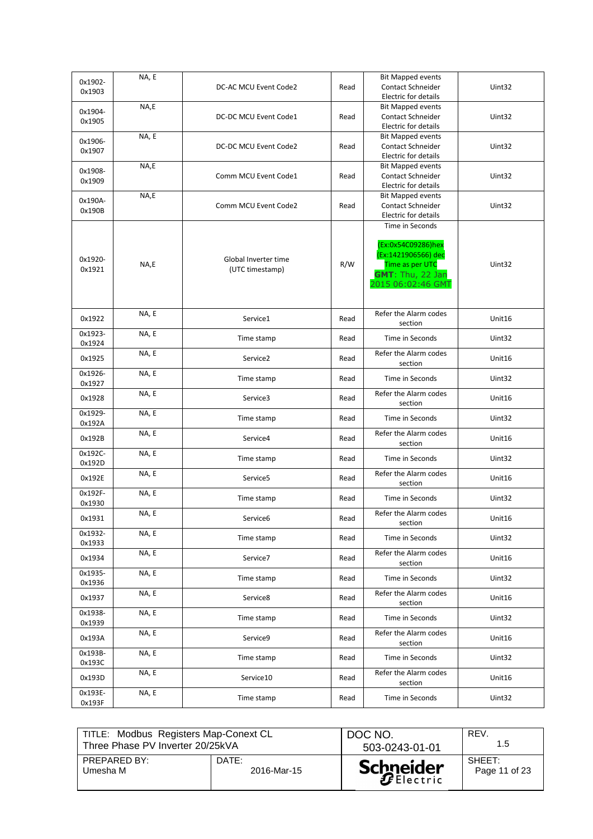| 0x1902- | NA, E |                       |      | <b>Bit Mapped events</b> |        |
|---------|-------|-----------------------|------|--------------------------|--------|
| 0x1903  |       | DC-AC MCU Event Code2 | Read | Contact Schneider        | Uint32 |
|         |       |                       |      | Electric for details     |        |
| 0x1904- | NA,E  |                       |      | <b>Bit Mapped events</b> |        |
| 0x1905  |       | DC-DC MCU Event Code1 | Read | <b>Contact Schneider</b> | Uint32 |
|         |       |                       |      | Electric for details     |        |
| 0x1906- | NA, E |                       |      | <b>Bit Mapped events</b> |        |
| 0x1907  |       | DC-DC MCU Event Code2 | Read | Contact Schneider        | Uint32 |
|         |       |                       |      | Electric for details     |        |
| 0x1908- | NA,E  |                       |      | <b>Bit Mapped events</b> |        |
| 0x1909  |       | Comm MCU Event Code1  | Read | <b>Contact Schneider</b> | Uint32 |
|         |       |                       |      | Electric for details     |        |
| 0x190A- | NA,E  |                       |      | <b>Bit Mapped events</b> |        |
| 0x190B  |       | Comm MCU Event Code2  | Read | <b>Contact Schneider</b> | Uint32 |
|         |       |                       |      | Electric for details     |        |
|         |       |                       |      | Time in Seconds          |        |
|         |       |                       |      |                          |        |
|         |       |                       |      | (Ex:0x54C09286)hex       |        |
| 0x1920- |       | Global Inverter time  |      | (Ex:1421906566) dec      |        |
| 0x1921  | NA,E  | (UTC timestamp)       | R/W  | Time as per UTC          | Uint32 |
|         |       |                       |      | <b>GMT: Thu, 22 Jan</b>  |        |
|         |       |                       |      | 2015 06:02:46 GMT        |        |
|         |       |                       |      |                          |        |
|         | NA, E |                       |      | Refer the Alarm codes    |        |
| 0x1922  |       | Service1              | Read | section                  | Unit16 |
| 0x1923- | NA, E |                       |      |                          |        |
| 0x1924  |       | Time stamp            | Read | Time in Seconds          | Uint32 |
|         | NA, E |                       |      | Refer the Alarm codes    |        |
| 0x1925  |       | Service <sub>2</sub>  | Read | section                  | Unit16 |
| 0x1926- | NA, E |                       |      |                          |        |
| 0x1927  |       | Time stamp            | Read | Time in Seconds          | Uint32 |
|         | NA, E |                       |      | Refer the Alarm codes    |        |
| 0x1928  |       | Service3              | Read | section                  | Unit16 |
| 0x1929- | NA, E |                       |      |                          |        |
| 0x192A  |       | Time stamp            | Read | Time in Seconds          | Uint32 |
|         | NA, E |                       |      | Refer the Alarm codes    |        |
| 0x192B  |       | Service4              | Read | section                  | Unit16 |
| 0x192C- | NA, E |                       |      |                          |        |
| 0x192D  |       | Time stamp            | Read | Time in Seconds          | Uint32 |
|         | NA, E |                       |      | Refer the Alarm codes    |        |
| 0x192E  |       | Service5              | Read | section                  | Unit16 |
| 0x192F- | NA, E |                       |      |                          |        |
| 0x1930  |       | Time stamp            | Read | Time in Seconds          | Uint32 |
|         | NA, E |                       |      | Refer the Alarm codes    |        |
| 0x1931  |       | Service6              | Read | section                  | Unit16 |
| 0x1932- | NA, E |                       |      | Time in Seconds          |        |
| 0x1933  |       | Time stamp            | Read |                          | Uint32 |
|         | NA, E |                       |      | Refer the Alarm codes    |        |
| 0x1934  |       | Service7              | Read | section                  | Unit16 |
| 0x1935- | NA, E | Time stamp            |      | Time in Seconds          | Uint32 |
| 0x1936  |       |                       | Read |                          |        |
| 0x1937  | NA, E | Service8              |      | Refer the Alarm codes    | Unit16 |
|         |       |                       | Read | section                  |        |
| 0x1938- | NA, E | Time stamp            | Read | Time in Seconds          | Uint32 |
| 0x1939  |       |                       |      |                          |        |
| 0x193A  | NA, E | Service9              |      | Refer the Alarm codes    | Unit16 |
|         |       |                       | Read | section                  |        |
| 0x193B- | NA, E | Time stamp            | Read | Time in Seconds          | Uint32 |
| 0x193C  |       |                       |      |                          |        |
| 0x193D  | NA, E | Service10             | Read | Refer the Alarm codes    | Unit16 |
|         |       |                       |      | section                  |        |
| 0x193E- | NA, E | Time stamp            | Read | Time in Seconds          | Uint32 |
| 0x193F  |       |                       |      |                          |        |

| TITLE: Modbus Registers Map-Conext CL |             | DOC NO.          | REV.          |
|---------------------------------------|-------------|------------------|---------------|
| Three Phase PV Inverter 20/25kVA      |             | 503-0243-01-01   | 1.5           |
| PREPARED BY:                          | DATE:       | <b>Schneider</b> | SHEFT:        |
| Umesha M                              | 2016-Mar-15 |                  | Page 11 of 23 |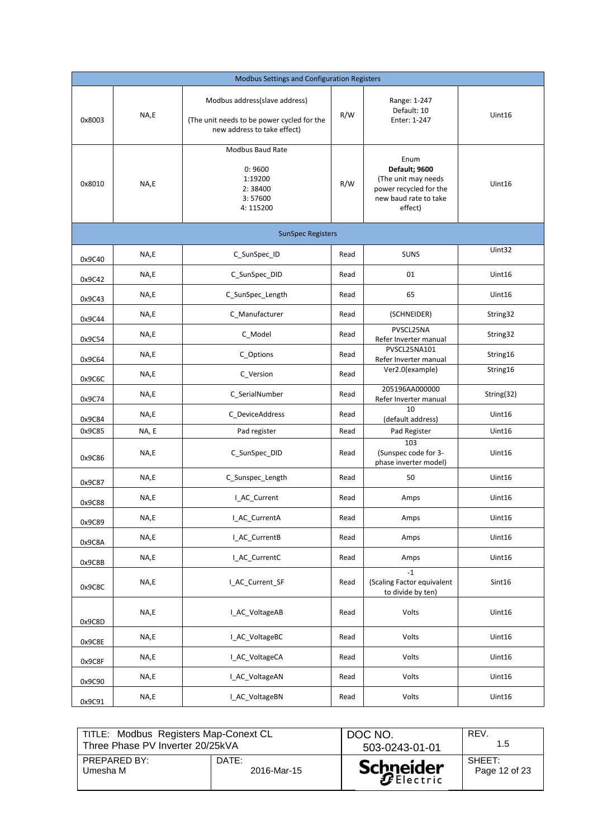|        | Modbus Settings and Configuration Registers |                                                                                                            |      |                                                                                                            |            |
|--------|---------------------------------------------|------------------------------------------------------------------------------------------------------------|------|------------------------------------------------------------------------------------------------------------|------------|
| 0x8003 | NA,E                                        | Modbus address(slave address)<br>(The unit needs to be power cycled for the<br>new address to take effect) | R/W  | Range: 1-247<br>Default: 10<br>Enter: 1-247                                                                | Uint16     |
| 0x8010 | NA,E                                        | Modbus Baud Rate<br>0:9600<br>1:19200<br>2:38400<br>3:57600<br>4:115200                                    | R/W  | Enum<br>Default; 9600<br>(The unit may needs<br>power recycled for the<br>new baud rate to take<br>effect) | Uint16     |
|        |                                             | <b>SunSpec Registers</b>                                                                                   |      |                                                                                                            |            |
| 0x9C40 | NA,E                                        | C_SunSpec_ID                                                                                               | Read | <b>SUNS</b>                                                                                                | Uint32     |
| 0x9C42 | NA,E                                        | C_SunSpec_DID                                                                                              | Read | 01                                                                                                         | Uint16     |
| 0x9C43 | NA,E                                        | C_SunSpec_Length                                                                                           | Read | 65                                                                                                         | Uint16     |
| 0x9C44 | NA,E                                        | C_Manufacturer                                                                                             | Read | (SCHNEIDER)                                                                                                | String32   |
| 0x9C54 | NA,E                                        | C_Model                                                                                                    | Read | PVSCL25NA<br>Refer Inverter manual                                                                         | String32   |
| 0x9C64 | NA,E                                        | C_Options                                                                                                  | Read | PVSCL25NA101<br>Refer Inverter manual                                                                      | String16   |
| 0x9C6C | NA,E                                        | C_Version                                                                                                  | Read | Ver2.0(example)                                                                                            | String16   |
| 0x9C74 | NA,E                                        | C_SerialNumber                                                                                             | Read | 205196AA000000<br>Refer Inverter manual                                                                    | String(32) |
| 0x9C84 | NA,E                                        | C_DeviceAddress                                                                                            | Read | 10<br>(default address)                                                                                    | Uint16     |
| 0x9C85 | NA, E                                       | Pad register                                                                                               | Read | Pad Register                                                                                               | Uint16     |
| 0x9C86 | NA,E                                        | C_SunSpec_DID                                                                                              | Read | 103<br>(Sunspec code for 3-<br>phase inverter model)                                                       | Uint16     |
| 0x9C87 | NA,E                                        | C_Sunspec_Length                                                                                           | Read | 50                                                                                                         | Uint16     |
| 0x9C88 | NA,E                                        | I_AC_Current                                                                                               | Read | Amps                                                                                                       | Uint16     |
| 0x9C89 | NA,E                                        | I_AC_CurrentA                                                                                              | Read | Amps                                                                                                       | Uint16     |
| 0x9C8A | NA,E                                        | I_AC_CurrentB                                                                                              | Read | Amps                                                                                                       | Unit16     |
| 0x9C8B | NA,E                                        | I_AC_CurrentC                                                                                              | Read | Amps                                                                                                       | Unit16     |
| 0x9C8C | NA,E                                        | I_AC_Current_SF                                                                                            | Read | $-1$<br>(Scaling Factor equivalent<br>to divide by ten)                                                    | Sint16     |
| 0x9C8D | NA,E                                        | I_AC_VoltageAB                                                                                             | Read | Volts                                                                                                      | Unit16     |
| 0x9C8E | NA,E                                        | I_AC_VoltageBC                                                                                             | Read | Volts                                                                                                      | Unit16     |
| 0x9C8F | NA,E                                        | I_AC_VoltageCA                                                                                             | Read | Volts                                                                                                      | Uint16     |
| 0x9C90 | NA,E                                        | I_AC_VoltageAN                                                                                             | Read | Volts                                                                                                      | Uint16     |
| 0x9C91 | NA,E                                        | I_AC_VoltageBN                                                                                             | Read | Volts                                                                                                      | Unit16     |

| TITLE: Modbus Registers Map-Conext CL<br>Three Phase PV Inverter 20/25kVA |                      | DOC NO.<br>503-0243-01-01 | REV.<br>1.5             |
|---------------------------------------------------------------------------|----------------------|---------------------------|-------------------------|
| PREPARED BY:<br>Umesha M                                                  | DATE:<br>2016-Mar-15 | <b>Schneider</b>          | SHEET:<br>Page 12 of 23 |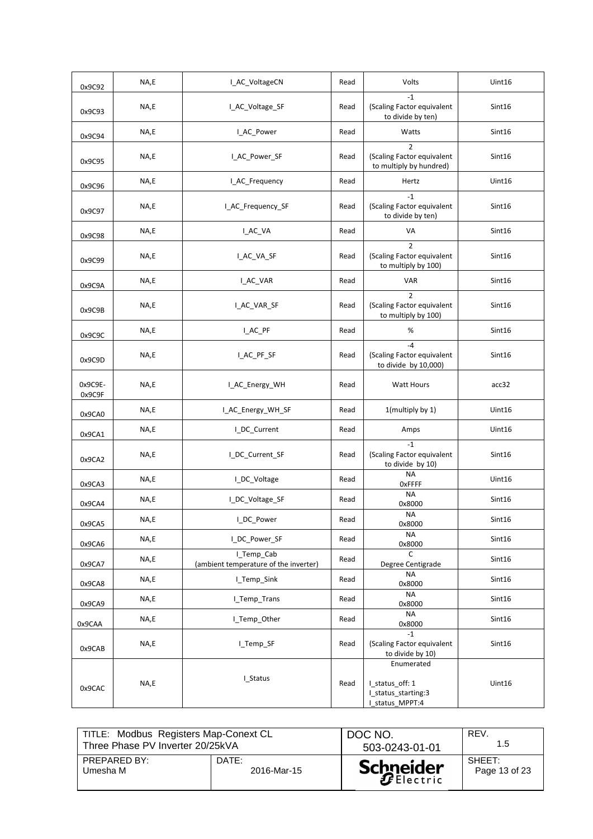| 0x9C92            | NA,E | I_AC_VoltageCN                                      | Read | Volts                                                                   | Uint16 |
|-------------------|------|-----------------------------------------------------|------|-------------------------------------------------------------------------|--------|
| 0x9C93            | NA,E | I AC Voltage SF                                     | Read | $-1$<br>(Scaling Factor equivalent<br>to divide by ten)                 | Sint16 |
| 0x9C94            | NA,E | I_AC_Power                                          | Read | Watts                                                                   | Sint16 |
| 0x9C95            | NA,E | I_AC_Power_SF                                       | Read | $\overline{2}$<br>(Scaling Factor equivalent<br>to multiply by hundred) | Sint16 |
| 0x9C96            | NA,E | I_AC_Frequency                                      | Read | Hertz                                                                   | Uint16 |
| 0x9C97            | NA,E | I AC Frequency SF                                   | Read | $-1$<br>(Scaling Factor equivalent<br>to divide by ten)                 | Sint16 |
| 0x9C98            | NA,E | I_AC_VA                                             | Read | VA                                                                      | Sint16 |
| 0x9C99            | NA,E | I_AC_VA_SF                                          | Read | $\overline{2}$<br>(Scaling Factor equivalent<br>to multiply by 100)     | Sint16 |
| 0x9C9A            | NA,E | I_AC_VAR                                            | Read | <b>VAR</b>                                                              | Sint16 |
| 0x9C9B            | NA,E | I_AC_VAR_SF                                         | Read | $\mathcal{P}$<br>(Scaling Factor equivalent<br>to multiply by 100)      | Sint16 |
| 0x9C9C            | NA,E | I_AC_PF                                             | Read | $\%$                                                                    | Sint16 |
| 0x9C9D            | NA,E | I_AC_PF_SF                                          | Read | $-4$<br>(Scaling Factor equivalent<br>to divide by 10,000)              | Sint16 |
| 0x9C9E-<br>0x9C9F | NA,E | I_AC_Energy_WH                                      | Read | <b>Watt Hours</b>                                                       | acc32  |
| 0x9CA0            | NA,E | I AC_Energy_WH_SF                                   | Read | 1(multiply by 1)                                                        | Uint16 |
| 0x9CA1            | NA,E | I_DC_Current                                        | Read | Amps                                                                    | Uint16 |
| 0x9CA2            | NA,E | I_DC_Current_SF                                     | Read | $-1$<br>(Scaling Factor equivalent<br>to divide by 10)                  | Sint16 |
| 0x9CA3            | NA,E | I_DC_Voltage                                        | Read | <b>NA</b><br><b>OxFFFF</b>                                              | Uint16 |
| 0x9CA4            | NA,E | I_DC_Voltage_SF                                     | Read | <b>NA</b><br>0x8000                                                     | Sint16 |
| 0x9CA5            | NA,E | I_DC_Power                                          | Read | <b>NA</b><br>0x8000                                                     | Sint16 |
| 0x9CA6            | NA,E | I_DC_Power_SF                                       | Read | <b>NA</b><br>0x8000                                                     | Sint16 |
| 0x9CA7            | NA,E | I_Temp_Cab<br>(ambient temperature of the inverter) | Read | $\mathsf{C}$<br>Degree Centigrade                                       | Sint16 |
| 0x9CA8            | NA,E | I_Temp_Sink                                         | Read | NA<br>0x8000                                                            | Sint16 |
| 0x9CA9            | NA,E | I_Temp_Trans                                        | Read | <b>NA</b><br>0x8000                                                     | Sint16 |
| 0x9CAA            | NA,E | I_Temp_Other                                        | Read | <b>NA</b><br>0x8000                                                     | Sint16 |
| 0x9CAB            | NA,E | I_Temp_SF                                           | Read | $-1$<br>(Scaling Factor equivalent<br>to divide by 10)                  | Sint16 |
| 0x9CAC            | NA,E | I_Status                                            | Read | Enumerated<br>I_status_off: 1<br>I_status_starting:3<br>I status MPPT:4 | Uint16 |

| TITLE: Modbus Registers Map-Conext CL |             | DOC NO.          | REV.          |
|---------------------------------------|-------------|------------------|---------------|
| Three Phase PV Inverter 20/25kVA      |             | 503-0243-01-01   | 1.5           |
| PREPARED BY:                          | DATE:       | <b>Schneider</b> | SHEFT:        |
| Umesha M                              | 2016-Mar-15 |                  | Page 13 of 23 |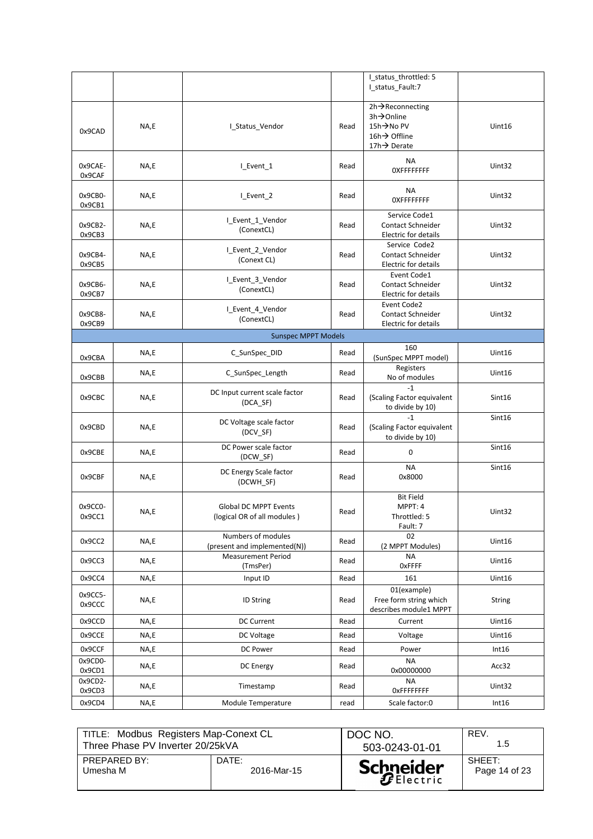|                            |      |                                                             |      | I_status_throttled: 5<br>I_status_Fault:7                                |               |
|----------------------------|------|-------------------------------------------------------------|------|--------------------------------------------------------------------------|---------------|
| 0x9CAD                     | NA,E | I_Status_Vendor                                             | Read | 2h→Reconnecting<br>3h→Online<br>15h→No PV<br>16h→ Offline<br>17h→ Derate | Uint16        |
| 0x9CAE-<br>0x9CAF          | NA,E | I_Event_1                                                   | Read | <b>NA</b><br><b>OXFFFFFFFF</b>                                           | Uint32        |
| Ox9CBO-<br>0x9CB1          | NA,E | L_Event_2                                                   | Read | ΝA<br><b>OXFFFFFFFF</b>                                                  | Uint32        |
| Ox9CB2-<br>0x9CB3          | NA,E | I_Event_1_Vendor<br>(ConextCL)                              | Read | Service Code1<br><b>Contact Schneider</b><br>Electric for details        | Uint32        |
| 0x9CB4-<br>0x9CB5          | NA,E | I_Event_2_Vendor<br>(Conext CL)                             | Read | Service Code2<br><b>Contact Schneider</b><br><b>Electric for details</b> | Uint32        |
| 0x9CB6-<br>0x9CB7          | NA,E | L_Event_3_Vendor<br>(ConextCL)                              | Read | Event Code1<br><b>Contact Schneider</b><br>Electric for details          | Uint32        |
| 0x9CB8-<br>0x9CB9          | NA,E | I Event 4 Vendor<br>(ConextCL)                              | Read | Event Code2<br><b>Contact Schneider</b><br><b>Electric for details</b>   | Uint32        |
| <b>Sunspec MPPT Models</b> |      |                                                             |      |                                                                          |               |
| 0x9CBA                     | NA,E | C_SunSpec_DID                                               | Read | 160<br>(SunSpec MPPT model)                                              | Uint16        |
| 0x9CBB                     | NA,E | C_SunSpec_Length                                            | Read | Registers<br>No of modules                                               | Uint16        |
| 0x9CBC                     | NA,E | DC Input current scale factor<br>$(DCA$ SF)                 | Read | $-1$<br>(Scaling Factor equivalent<br>to divide by 10)                   | Sint16        |
| 0x9CBD                     | NA,E | DC Voltage scale factor<br>(DCV_SF)                         | Read | $-1$<br>(Scaling Factor equivalent<br>to divide by 10)                   | Sint16        |
| 0x9CBE                     | NA,E | DC Power scale factor<br>(DCW_SF)                           | Read | 0                                                                        | Sint16        |
| 0x9CBF                     | NA,E | DC Energy Scale factor<br>(DCWH SF)                         | Read | <b>NA</b><br>0x8000                                                      | Sint16        |
| 0x9CC0-<br>0x9CC1          | NA,E | <b>Global DC MPPT Events</b><br>(logical OR of all modules) | Read | <b>Bit Field</b><br>MPPT: 4<br>Throttled: 5<br>Fault: 7                  | Uint32        |
| 0x9CC2                     | NA,E | Numbers of modules<br>(present and implemented(N))          | Read | 02<br>(2 MPPT Modules)                                                   | Uint16        |
| 0x9CC3                     | NA,E | <b>Measurement Period</b><br>(TmsPer)                       | Read | <b>NA</b><br><b>OxFFFF</b>                                               | Uint16        |
| 0x9CC4                     | NA,E | Input ID                                                    | Read | 161                                                                      | Uint16        |
| 0x9CC5-<br>0x9CCC          | NA,E | <b>ID String</b>                                            | Read | 01(example)<br>Free form string which<br>describes module1 MPPT          | <b>String</b> |
| 0x9CCD                     | NA,E | <b>DC Current</b>                                           | Read | Current                                                                  | Uint16        |
| 0x9CCE                     | NA,E | DC Voltage                                                  | Read | Voltage                                                                  | Uint16        |
| 0x9CCF                     | NA,E | DC Power                                                    | Read | Power                                                                    | Int16         |
| 0x9CD0-<br>0x9CD1          | NA,E | DC Energy                                                   | Read | <b>NA</b><br>0x00000000                                                  | Acc32         |
| 0x9CD2-<br>0x9CD3          | NA,E | Timestamp                                                   | Read | <b>NA</b><br><b>OxFFFFFFFF</b>                                           | Uint32        |
| 0x9CD4                     | NA,E | Module Temperature                                          | read | Scale factor:0                                                           | Int16         |

| TITLE: Modbus Registers Map-Conext CL |             | DOC NO.          | REV.          |
|---------------------------------------|-------------|------------------|---------------|
| Three Phase PV Inverter 20/25kVA      |             | 503-0243-01-01   | 1.5           |
| <b>PREPARED BY:</b>                   | DATE:       | <b>Schneider</b> | SHEET:        |
| Umesha M                              | 2016-Mar-15 |                  | Page 14 of 23 |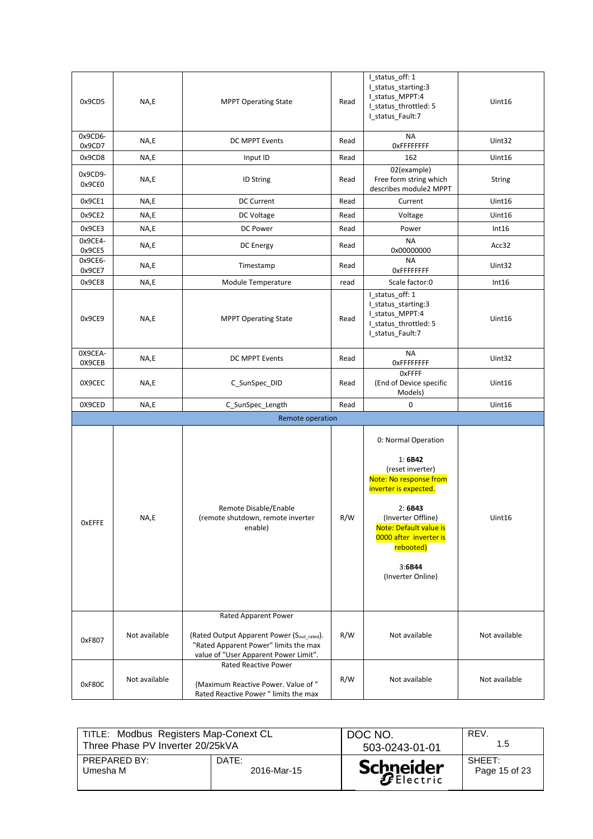| 0x9CD5            | NA,E          | <b>MPPT Operating State</b>                                                                                                  | Read | I_status_off: 1<br>I_status_starting:3<br>I_status_MPPT:4<br>I status throttled: 5<br>I_status_Fault:7                                                                                                                                | Uint16        |
|-------------------|---------------|------------------------------------------------------------------------------------------------------------------------------|------|---------------------------------------------------------------------------------------------------------------------------------------------------------------------------------------------------------------------------------------|---------------|
| 0x9CD6-<br>0x9CD7 | NA,E          | DC MPPT Events                                                                                                               | Read | <b>NA</b><br><b>OxFFFFFFFF</b>                                                                                                                                                                                                        | Uint32        |
| 0x9CD8            | NA,E          | Input ID                                                                                                                     | Read | 162                                                                                                                                                                                                                                   | Uint16        |
| 0x9CD9-<br>0x9CE0 | NA,E          | <b>ID String</b>                                                                                                             | Read | 02(example)<br>Free form string which<br>describes module2 MPPT                                                                                                                                                                       | <b>String</b> |
| 0x9CE1            | NA,E          | <b>DC Current</b>                                                                                                            | Read | Current                                                                                                                                                                                                                               | Uint16        |
| 0x9CE2            | NA,E          | DC Voltage                                                                                                                   | Read | Voltage                                                                                                                                                                                                                               | Uint16        |
| 0x9CE3            | NA,E          | <b>DC Power</b>                                                                                                              | Read | Power                                                                                                                                                                                                                                 | Int16         |
| 0x9CE4-<br>0x9CE5 | NA,E          | DC Energy                                                                                                                    | Read | <b>NA</b><br>0x00000000                                                                                                                                                                                                               | Acc32         |
| 0x9CE6-<br>0x9CE7 | NA,E          | Timestamp                                                                                                                    | Read | <b>NA</b><br><b>OxFFFFFFFF</b>                                                                                                                                                                                                        | Uint32        |
| 0x9CE8            | NA,E          | Module Temperature                                                                                                           | read | Scale factor:0                                                                                                                                                                                                                        | Int16         |
| 0x9CE9            | NA,E          | <b>MPPT Operating State</b>                                                                                                  | Read | I_status_off: 1<br>I_status_starting:3<br>I_status_MPPT:4<br>I_status_throttled: 5<br>I_status_Fault:7                                                                                                                                | Uint16        |
| OX9CEA-<br>0X9CEB | NA,E          | DC MPPT Events                                                                                                               | Read | <b>NA</b><br><b>OXFFFFFFFF</b>                                                                                                                                                                                                        | Uint32        |
| 0X9CEC            | NA,E          | C_SunSpec_DID                                                                                                                | Read | OxFFFF<br>(End of Device specific<br>Models)                                                                                                                                                                                          | Uint16        |
| 0X9CED            | NA,E          | C_SunSpec_Length                                                                                                             | Read | $\mathbf 0$                                                                                                                                                                                                                           | Uint16        |
|                   |               | Remote operation                                                                                                             |      |                                                                                                                                                                                                                                       |               |
| <b>OxEFFE</b>     | NA,E          | Remote Disable/Enable<br>(remote shutdown, remote inverter<br>enable)                                                        | R/W  | 0: Normal Operation<br>1:6B42<br>(reset inverter)<br>Note: No response from<br>inverter is expected.<br>2: 6B43<br>(Inverter Offline)<br>Note: Default value is<br>0000 after inverter is<br>rebooted)<br>3:6B44<br>(Inverter Online) | Uint16        |
|                   |               | Rated Apparent Power                                                                                                         |      |                                                                                                                                                                                                                                       |               |
| 0xF807            | Not available | (Rated Output Apparent Power (Sout_rated).<br>"Rated Apparent Power" limits the max<br>value of "User Apparent Power Limit". | R/W  | Not available                                                                                                                                                                                                                         | Not available |
| 0xF80C            | Not available | <b>Rated Reactive Power</b><br>(Maximum Reactive Power. Value of "<br>Rated Reactive Power " limits the max                  | R/W  | Not available                                                                                                                                                                                                                         | Not available |

| TITLE: Modbus Registers Map-Conext CL |             | DOC NO.          | REV.          |
|---------------------------------------|-------------|------------------|---------------|
| Three Phase PV Inverter 20/25kVA      |             | 503-0243-01-01   | 1.5           |
| PREPARED BY:                          | DATE:       | <b>Schneider</b> | SHEFT:        |
| Umesha M                              | 2016-Mar-15 |                  | Page 15 of 23 |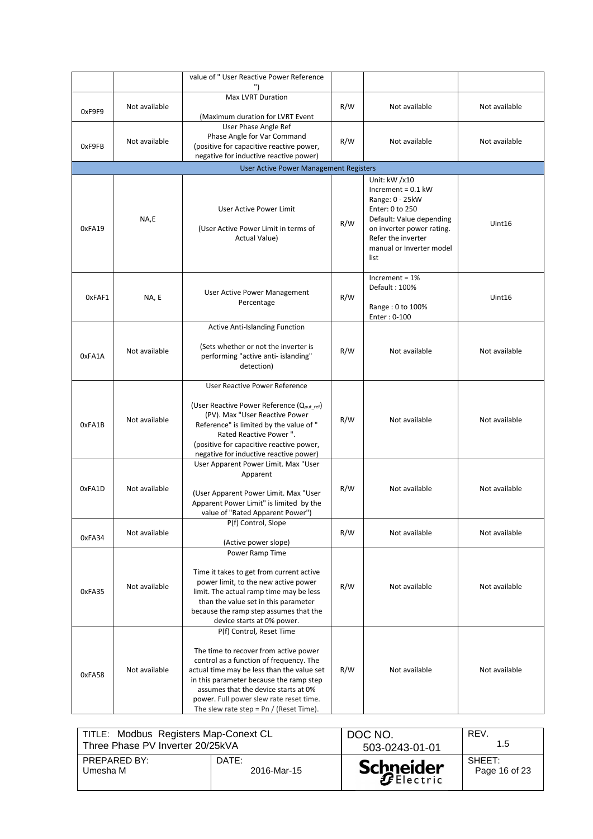|        |               | value of "User Reactive Power Reference                                                                                                                                                                                                                                                                                               |     |                                                                                                                                                                                                |               |
|--------|---------------|---------------------------------------------------------------------------------------------------------------------------------------------------------------------------------------------------------------------------------------------------------------------------------------------------------------------------------------|-----|------------------------------------------------------------------------------------------------------------------------------------------------------------------------------------------------|---------------|
| 0xF9F9 | Not available | <b>Max LVRT Duration</b><br>(Maximum duration for LVRT Event                                                                                                                                                                                                                                                                          | R/W | Not available                                                                                                                                                                                  | Not available |
| OxF9FB | Not available | User Phase Angle Ref<br>Phase Angle for Var Command<br>(positive for capacitive reactive power,<br>negative for inductive reactive power)                                                                                                                                                                                             | R/W | Not available                                                                                                                                                                                  | Not available |
|        |               | <b>User Active Power Management Registers</b>                                                                                                                                                                                                                                                                                         |     |                                                                                                                                                                                                |               |
| 0xFA19 | NA,E          | User Active Power Limit<br>(User Active Power Limit in terms of<br>Actual Value)                                                                                                                                                                                                                                                      | R/W | Unit: kW /x10<br>Increment = $0.1$ kW<br>Range: 0 - 25kW<br>Enter: 0 to 250<br>Default: Value depending<br>on inverter power rating.<br>Refer the inverter<br>manual or Inverter model<br>list | Uint16        |
| 0xFAF1 | NA, E         | User Active Power Management<br>Percentage                                                                                                                                                                                                                                                                                            | R/W | Increment = $1\%$<br>Default: 100%<br>Range: 0 to 100%<br>Enter: 0-100                                                                                                                         | Uint16        |
| 0xFA1A | Not available | <b>Active Anti-Islanding Function</b><br>(Sets whether or not the inverter is<br>performing "active anti- islanding"<br>detection)                                                                                                                                                                                                    | R/W | Not available                                                                                                                                                                                  | Not available |
| 0xFA1B | Not available | User Reactive Power Reference<br>(User Reactive Power Reference (Qout_ref)<br>(PV). Max "User Reactive Power<br>Reference" is limited by the value of "<br>Rated Reactive Power".<br>(positive for capacitive reactive power,<br>negative for inductive reactive power)                                                               | R/W | Not available                                                                                                                                                                                  | Not available |
| 0xFA1D | Not available | User Apparent Power Limit. Max "User<br>Apparent<br>(User Apparent Power Limit. Max "User<br>Apparent Power Limit" is limited by the<br>value of "Rated Apparent Power")                                                                                                                                                              | R/W | Not available                                                                                                                                                                                  | Not available |
| 0xFA34 | Not available | P(f) Control, Slope<br>(Active power slope)                                                                                                                                                                                                                                                                                           | R/W | Not available                                                                                                                                                                                  | Not available |
| 0xFA35 | Not available | Power Ramp Time<br>Time it takes to get from current active<br>power limit, to the new active power<br>limit. The actual ramp time may be less<br>than the value set in this parameter<br>because the ramp step assumes that the<br>device starts at 0% power.                                                                        | R/W | Not available                                                                                                                                                                                  | Not available |
| 0xFA58 | Not available | P(f) Control, Reset Time<br>The time to recover from active power<br>control as a function of frequency. The<br>actual time may be less than the value set<br>in this parameter because the ramp step<br>assumes that the device starts at 0%<br>power. Full power slew rate reset time.<br>The slew rate step = $Pn /$ (Reset Time). | R/W | Not available                                                                                                                                                                                  | Not available |

| TITLE: Modbus Registers Map-Conext CL |             | DOC NO.          | REV.          |
|---------------------------------------|-------------|------------------|---------------|
| Three Phase PV Inverter 20/25kVA      |             | 503-0243-01-01   | 1.5           |
| PREPARED BY:                          | DATE:       | <b>Schneider</b> | SHEFT:        |
| Umesha M                              | 2016-Mar-15 |                  | Page 16 of 23 |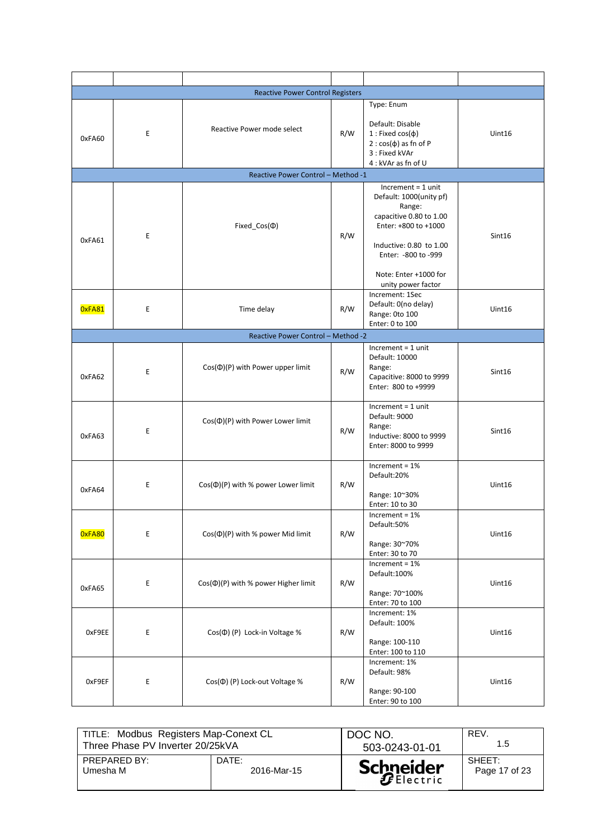|        |   | <b>Reactive Power Control Registers</b>  |     |                                                                                                                                                                                                                 |        |
|--------|---|------------------------------------------|-----|-----------------------------------------------------------------------------------------------------------------------------------------------------------------------------------------------------------------|--------|
| 0xFA60 | E | Reactive Power mode select               | R/W | Type: Enum<br>Default: Disable<br>$1:$ Fixed $cos(\phi)$<br>$2 : cos(\phi)$ as fn of P<br>3: Fixed kVAr<br>4 : kVAr as fn of U                                                                                  | Uint16 |
|        |   | Reactive Power Control - Method -1       |     |                                                                                                                                                                                                                 |        |
| 0xFA61 | E | Fixed_Cos( $\Phi$ )                      | R/W | $Increment = 1 unit$<br>Default: 1000(unity pf)<br>Range:<br>capacitive 0.80 to 1.00<br>Enter: +800 to +1000<br>Inductive: 0.80 to 1.00<br>Enter: - 800 to - 999<br>Note: Enter +1000 for<br>unity power factor | Sint16 |
| OxFA81 | E | Time delay                               | R/W | Increment: 1Sec<br>Default: 0(no delay)<br>Range: 0to 100<br>Enter: 0 to 100                                                                                                                                    | Uint16 |
|        |   | Reactive Power Control - Method -2       |     |                                                                                                                                                                                                                 |        |
| 0xFA62 | E | $Cos(\Phi)(P)$ with Power upper limit    | R/W | $Increment = 1 unit$<br>Default: 10000<br>Range:<br>Capacitive: 8000 to 9999<br>Enter: 800 to +9999                                                                                                             | Sint16 |
| 0xFA63 | E | $Cos(\Phi)(P)$ with Power Lower limit    | R/W | $Increment = 1 unit$<br>Default: 9000<br>Range:<br>Inductive: 8000 to 9999<br>Enter: 8000 to 9999                                                                                                               | Sint16 |
| 0xFA64 | E | $Cos(\Phi)(P)$ with % power Lower limit  | R/W | Increment = $1%$<br>Default:20%<br>Range: 10~30%<br>Enter: 10 to 30                                                                                                                                             | Uint16 |
| OxFA80 | E | $Cos(\Phi)(P)$ with % power Mid limit    | R/W | Increment = $1%$<br>Default:50%<br>Range: 30~70%<br>Enter: 30 to 70                                                                                                                                             | Uint16 |
| 0xFA65 | E | $Cos(\Phi)(P)$ with % power Higher limit | R/W | Increment = $1\%$<br>Default:100%<br>Range: 70~100%<br>Enter: 70 to 100                                                                                                                                         | Uint16 |
| 0xF9EE | E | Cos(¢) (P) Lock-in Voltage %             | R/W | Increment: 1%<br>Default: 100%<br>Range: 100-110<br>Enter: 100 to 110                                                                                                                                           | Uint16 |
| OxF9EF | E | Cos(0) (P) Lock-out Voltage %            | R/W | Increment: 1%<br>Default: 98%<br>Range: 90-100<br>Enter: 90 to 100                                                                                                                                              | Unit16 |

|              | TITLE: Modbus Registers Map-Conext CL<br>Three Phase PV Inverter 20/25kVA |                  | REV.<br>1.5   |
|--------------|---------------------------------------------------------------------------|------------------|---------------|
| PREPARED BY: | DATE:                                                                     | <b>Schneider</b> | SHEET:        |
| Umesha M     | 2016-Mar-15                                                               |                  | Page 17 of 23 |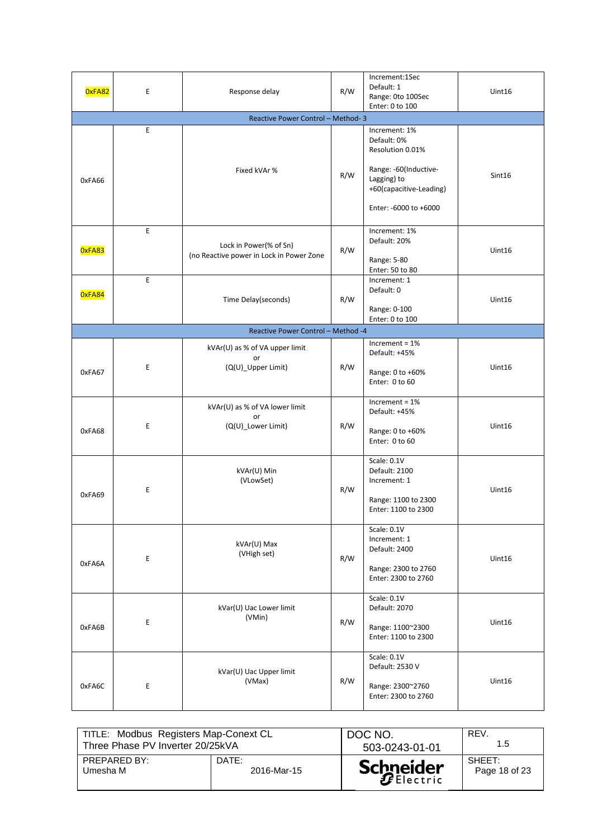| OxFA82 | E                                  | Response delay                                                     | R/W | Increment:1Sec<br>Default: 1<br>Range: Oto 100Sec<br>Enter: 0 to 100                                                                         | Uint16 |  |  |  |
|--------|------------------------------------|--------------------------------------------------------------------|-----|----------------------------------------------------------------------------------------------------------------------------------------------|--------|--|--|--|
|        |                                    | Reactive Power Control - Method-3                                  |     |                                                                                                                                              |        |  |  |  |
| 0xFA66 | E                                  | Fixed kVAr %                                                       | R/W | Increment: 1%<br>Default: 0%<br>Resolution 0.01%<br>Range: -60(Inductive-<br>Lagging) to<br>+60(capacitive-Leading)<br>Enter: -6000 to +6000 | Sint16 |  |  |  |
| OxFA83 | E                                  | Lock in Power(% of Sn)<br>(no Reactive power in Lock in Power Zone | R/W | Increment: 1%<br>Default: 20%<br>Range: 5-80<br>Enter: 50 to 80                                                                              | Uint16 |  |  |  |
| OxFA84 | $\mathsf E$                        | Time Delay(seconds)                                                | R/W | Increment: 1<br>Default: 0<br>Range: 0-100<br>Enter: 0 to 100                                                                                | Uint16 |  |  |  |
|        | Reactive Power Control - Method -4 |                                                                    |     |                                                                                                                                              |        |  |  |  |
| 0xFA67 | Ε                                  | kVAr(U) as % of VA upper limit<br>or<br>(Q(U)_Upper Limit)         | R/W | Increment = $1%$<br>Default: +45%<br>Range: 0 to +60%<br>Enter: 0 to 60                                                                      | Uint16 |  |  |  |
| 0xFA68 | E                                  | kVAr(U) as % of VA lower limit<br>or<br>(Q(U)_Lower Limit)         | R/W | $Increment = 1%$<br>Default: +45%<br>Range: 0 to +60%<br>Enter: 0 to 60                                                                      | Uint16 |  |  |  |
| 0xFA69 | E                                  | kVAr(U) Min<br>(VLowSet)                                           | R/W | Scale: 0.1V<br>Default: 2100<br>Increment: 1<br>Range: 1100 to 2300<br>Enter: 1100 to 2300                                                   | Uint16 |  |  |  |
| 0xFA6A | Е                                  | kVAr(U) Max<br>(VHigh set)                                         | R/W | Scale: 0.1V<br>Increment: 1<br>Default: 2400<br>Range: 2300 to 2760<br>Enter: 2300 to 2760                                                   | Uint16 |  |  |  |
| 0xFA6B | E                                  | kVar(U) Uac Lower limit<br>(VMin)                                  | R/W | Scale: 0.1V<br>Default: 2070<br>Range: 1100~2300<br>Enter: 1100 to 2300                                                                      | Uint16 |  |  |  |
| 0xFA6C | E                                  | kVar(U) Uac Upper limit<br>(VMax)                                  | R/W | Scale: 0.1V<br>Default: 2530 V<br>Range: 2300~2760<br>Enter: 2300 to 2760                                                                    | Uint16 |  |  |  |

| TITLE: Modbus Registers Map-Conext CL |             | DOC NO.          | REV.          |
|---------------------------------------|-------------|------------------|---------------|
| Three Phase PV Inverter 20/25kVA      |             | 503-0243-01-01   | 1.5           |
| PREPARED BY:                          | DATE:       | <b>Schneider</b> | SHEFT:        |
| Umesha M                              | 2016-Mar-15 |                  | Page 18 of 23 |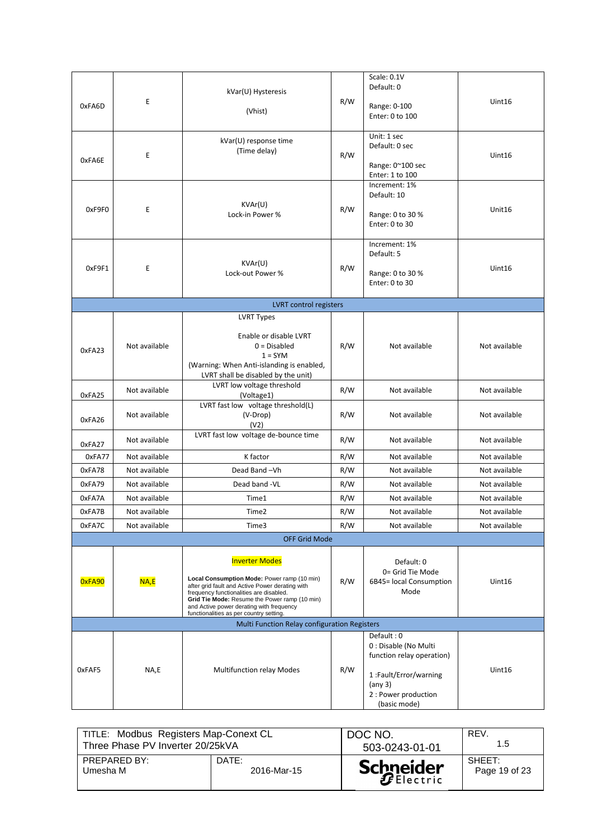| 0xFA6D<br>0xFA6E<br>0xF9F0 | Ε<br>Ε<br>Ε   | kVar(U) Hysteresis<br>(Vhist)<br>kVar(U) response time<br>(Time delay)<br>KVAr(U)<br>Lock-in Power %                                                                                                                                                                                                       | R/W<br>R/W<br>R/W | Scale: 0.1V<br>Default: 0<br>Range: 0-100<br>Enter: 0 to 100<br>Unit: 1 sec<br>Default: 0 sec<br>Range: 0~100 sec<br>Enter: 1 to 100<br>Increment: 1%<br>Default: 10<br>Range: 0 to 30 %<br>Enter: 0 to 30 | Uint16<br>Uint16<br>Unit16 |
|----------------------------|---------------|------------------------------------------------------------------------------------------------------------------------------------------------------------------------------------------------------------------------------------------------------------------------------------------------------------|-------------------|------------------------------------------------------------------------------------------------------------------------------------------------------------------------------------------------------------|----------------------------|
| 0xF9F1                     | Ε             | KVAr(U)<br>Lock-out Power %                                                                                                                                                                                                                                                                                | R/W               | Increment: 1%<br>Default: 5<br>Range: 0 to 30 %<br>Enter: 0 to 30                                                                                                                                          | Uint16                     |
|                            |               | LVRT control registers                                                                                                                                                                                                                                                                                     |                   |                                                                                                                                                                                                            |                            |
| 0xFA23                     | Not available | <b>LVRT Types</b><br>Enable or disable LVRT<br>$0 = Disabled$<br>$1 = SYM$<br>(Warning: When Anti-islanding is enabled,<br>LVRT shall be disabled by the unit)                                                                                                                                             | R/W               | Not available                                                                                                                                                                                              | Not available              |
| 0xFA25                     | Not available | LVRT low voltage threshold<br>(Voltage1)                                                                                                                                                                                                                                                                   | R/W               | Not available                                                                                                                                                                                              | Not available              |
| 0xFA26                     | Not available | LVRT fast low voltage threshold(L)<br>(V-Drop)<br>(V2)                                                                                                                                                                                                                                                     | R/W               | Not available                                                                                                                                                                                              | Not available              |
| 0xFA27                     | Not available | LVRT fast low voltage de-bounce time                                                                                                                                                                                                                                                                       | R/W               | Not available                                                                                                                                                                                              | Not available              |
| 0xFA77                     | Not available | K factor                                                                                                                                                                                                                                                                                                   | R/W               | Not available                                                                                                                                                                                              | Not available              |
| 0xFA78                     | Not available | Dead Band-Vh                                                                                                                                                                                                                                                                                               | R/W               | Not available                                                                                                                                                                                              | Not available              |
| 0xFA79                     | Not available | Dead band - VL                                                                                                                                                                                                                                                                                             | R/W               | Not available                                                                                                                                                                                              | Not available              |
| 0xFA7A                     | Not available | Time1                                                                                                                                                                                                                                                                                                      | R/W               | Not available                                                                                                                                                                                              | Not available              |
| 0xFA7B                     | Not available | Time2                                                                                                                                                                                                                                                                                                      | R/W               | Not available                                                                                                                                                                                              | Not available              |
| 0xFA7C                     | Not available | Time3                                                                                                                                                                                                                                                                                                      | R/W               | Not available                                                                                                                                                                                              | Not available              |
|                            |               | <b>OFF Grid Mode</b>                                                                                                                                                                                                                                                                                       |                   |                                                                                                                                                                                                            |                            |
| OxFA90                     | NA,E          | <b>Inverter Modes</b><br>Local Consumption Mode: Power ramp (10 min)<br>after grid fault and Active Power derating with<br>frequency functionalities are disabled.<br>Grid Tie Mode: Resume the Power ramp (10 min)<br>and Active power derating with frequency<br>functionalities as per country setting. | R/W               | Default: 0<br>0= Grid Tie Mode<br>6B45= local Consumption<br>Mode                                                                                                                                          | Uint16                     |
|                            |               | Multi Function Relay configuration Registers                                                                                                                                                                                                                                                               |                   |                                                                                                                                                                                                            |                            |
| 0xFAF5                     | NA,E          | <b>Multifunction relay Modes</b>                                                                                                                                                                                                                                                                           | R/W               | Default: 0<br>0 : Disable (No Multi<br>function relay operation)<br>1: Fault/Error/warning<br>(any 3)<br>2 : Power production<br>(basic mode)                                                              | Uint16                     |

| TITLE: Modbus Registers Map-Conext CL |             | DOC NO.          | REV.          |
|---------------------------------------|-------------|------------------|---------------|
| Three Phase PV Inverter 20/25kVA      |             | 503-0243-01-01   | 1.5           |
| PREPARED BY:                          | DATE:       | <b>Schneider</b> | SHEFT:        |
| Umesha M                              | 2016-Mar-15 |                  | Page 19 of 23 |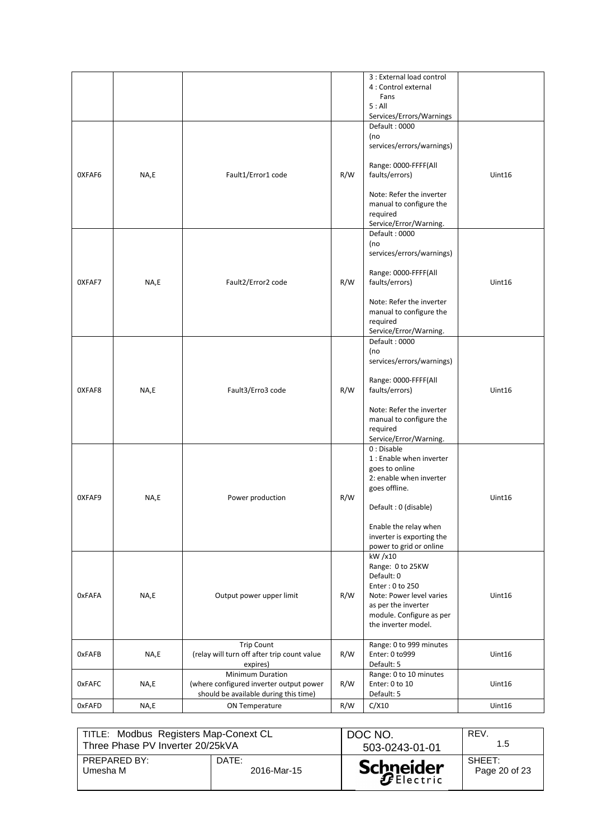|               |      |                                                                                                      |     | 3 : External load control<br>4 : Control external<br>Fans<br>5: All<br>Services/Errors/Warnings                                                                                                               |        |
|---------------|------|------------------------------------------------------------------------------------------------------|-----|---------------------------------------------------------------------------------------------------------------------------------------------------------------------------------------------------------------|--------|
| OXFAF6        | NA,E | Fault1/Error1 code                                                                                   | R/W | Default: 0000<br>(no<br>services/errors/warnings)<br>Range: 0000-FFFF(All<br>faults/errors)<br>Note: Refer the inverter<br>manual to configure the<br>required<br>Service/Error/Warning.                      | Uint16 |
| OXFAF7        | NA,E | Fault2/Error2 code                                                                                   | R/W | Default: 0000<br>(no<br>services/errors/warnings)<br>Range: 0000-FFFF(All<br>faults/errors)<br>Note: Refer the inverter<br>manual to configure the<br>required<br>Service/Error/Warning.                      | Uint16 |
| OXFAF8        | NA,E | Fault3/Erro3 code                                                                                    | R/W | Default: 0000<br>(no<br>services/errors/warnings)<br>Range: 0000-FFFF(All<br>faults/errors)<br>Note: Refer the inverter<br>manual to configure the<br>required<br>Service/Error/Warning.                      | Uint16 |
| OXFAF9        | NA,E | Power production                                                                                     | R/W | 0: Disable<br>1 : Enable when inverter<br>goes to online<br>2: enable when inverter<br>goes offline.<br>Default: 0 (disable)<br>Enable the relay when<br>inverter is exporting the<br>power to grid or online | Uint16 |
| <b>OxFAFA</b> | NA,E | Output power upper limit                                                                             | R/W | kW /x10<br>Range: 0 to 25KW<br>Default: 0<br>Enter: 0 to 250<br>Note: Power level varies<br>as per the inverter<br>module. Configure as per<br>the inverter model.                                            | Unit16 |
| <b>OxFAFB</b> | NA,E | <b>Trip Count</b><br>(relay will turn off after trip count value<br>expires)                         | R/W | Range: 0 to 999 minutes<br>Enter: 0 to999<br>Default: 5                                                                                                                                                       | Uint16 |
| 0xFAFC        | NA,E | Minimum Duration<br>(where configured inverter output power<br>should be available during this time) | R/W | Range: 0 to 10 minutes<br>Enter: 0 to 10<br>Default: 5                                                                                                                                                        | Uint16 |
| 0xFAFD        | NA,E | ON Temperature                                                                                       | R/W | C/X10                                                                                                                                                                                                         | Uint16 |

| TITLE: Modbus Registers Map-Conext CL |             | DOC NO.          | REV.          |
|---------------------------------------|-------------|------------------|---------------|
| Three Phase PV Inverter 20/25kVA      |             | 503-0243-01-01   | 1.5           |
| PREPARED BY:                          | DATE:       | <b>Schneider</b> | SHEFT:        |
| Umesha M                              | 2016-Mar-15 |                  | Page 20 of 23 |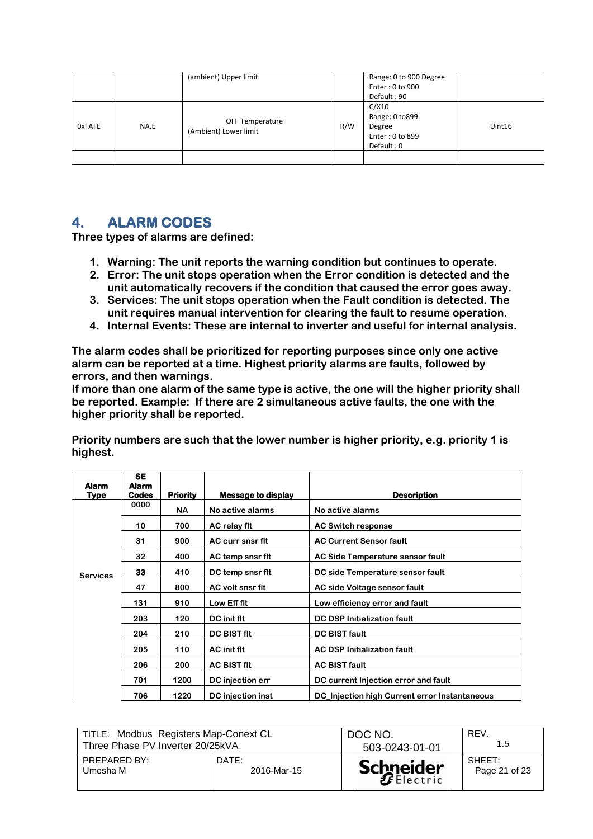|                       |  | (ambient) Upper limit |                | Range: 0 to 900 Degree |        |
|-----------------------|--|-----------------------|----------------|------------------------|--------|
|                       |  |                       |                | Enter: 0 to 900        |        |
|                       |  |                       |                | Default: 90            |        |
|                       |  |                       |                | C/X10                  |        |
| <b>OxFAFE</b><br>NA,E |  |                       | Range: 0 to899 |                        |        |
|                       |  | OFF Temperature       | R/W            | Degree                 | Uint16 |
|                       |  |                       |                | Enter: 0 to 899        |        |
|                       |  |                       |                | Default: 0             |        |
|                       |  |                       |                |                        |        |
|                       |  | (Ambient) Lower limit |                |                        |        |

# **4. ALARM CODES**

**Three types of alarms are defined:**

- **1. Warning: The unit reports the warning condition but continues to operate.**
- **2. Error: The unit stops operation when the Error condition is detected and the unit automatically recovers if the condition that caused the error goes away.**
- **3. Services: The unit stops operation when the Fault condition is detected. The unit requires manual intervention for clearing the fault to resume operation.**
- **4. Internal Events: These are internal to inverter and useful for internal analysis.**

**The alarm codes shall be prioritized for reporting purposes since only one active alarm can be reported at a time. Highest priority alarms are faults, followed by errors, and then warnings.**

**If more than one alarm of the same type is active, the one will the higher priority shall be reported. Example: If there are 2 simultaneous active faults, the one with the higher priority shall be reported.**

**Priority numbers are such that the lower number is higher priority, e.g. priority 1 is highest.**

| <b>Alarm</b>    | <b>SE</b><br><b>Alarm</b> |                 |                    |                                               |
|-----------------|---------------------------|-----------------|--------------------|-----------------------------------------------|
| Type            | <b>Codes</b>              | <b>Priority</b> | Message to display | <b>Description</b>                            |
|                 | 0000                      | <b>NA</b>       | No active alarms   | No active alarms                              |
|                 | 10                        | 700             | AC relay fit       | <b>AC Switch response</b>                     |
|                 | 31                        | 900             | AC curr snsr flt   | <b>AC Current Sensor fault</b>                |
|                 | 32                        | 400             | AC temp snsr flt   | AC Side Temperature sensor fault              |
| <b>Services</b> | 33                        | 410             | DC temp snsr flt   | DC side Temperature sensor fault              |
|                 | 47                        | 800             | AC volt snsr flt   | AC side Voltage sensor fault                  |
|                 | 131                       | 910             | Low Eff flt        | Low efficiency error and fault                |
|                 | 203                       | 120             | DC init flt        | <b>DC DSP Initialization fault</b>            |
|                 | 204                       | 210             | <b>DC BIST fit</b> | <b>DC BIST fault</b>                          |
|                 | 205                       | 110             | AC init flt        | <b>AC DSP Initialization fault</b>            |
|                 | 206                       | 200             | <b>AC BIST fit</b> | <b>AC BIST fault</b>                          |
|                 | 701                       | 1200            | DC injection err   | DC current Injection error and fault          |
|                 | 706                       | 1220            | DC injection inst  | DC_Injection high Current error Instantaneous |

| TITLE: Modbus Registers Map-Conext CL |             | DOC NO.          | REV.          |
|---------------------------------------|-------------|------------------|---------------|
| Three Phase PV Inverter 20/25kVA      |             | 503-0243-01-01   | 1.5           |
| PREPARED BY:                          | DATE:       | <b>Schneider</b> | SHEET:        |
| Umesha M                              | 2016-Mar-15 |                  | Page 21 of 23 |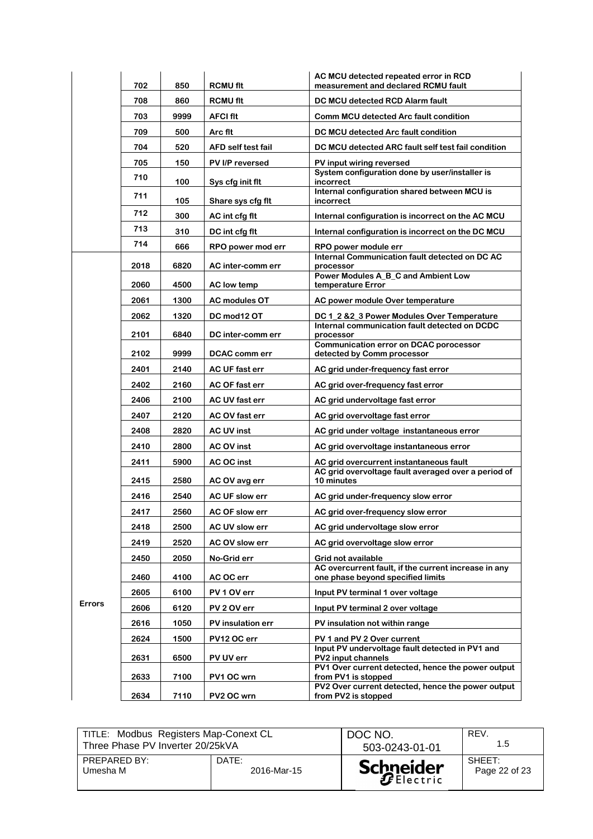|               | 702  | 850  | <b>RCMU fit</b>                       | AC MCU detected repeated error in RCD<br>measurement and declared RCMU fault                |
|---------------|------|------|---------------------------------------|---------------------------------------------------------------------------------------------|
|               | 708  | 860  | <b>RCMU fit</b>                       | DC MCU detected RCD Alarm fault                                                             |
|               | 703  | 9999 | <b>AFCI fit</b>                       | Comm MCU detected Arc fault condition                                                       |
|               | 709  | 500  | Arc flt                               | DC MCU detected Arc fault condition                                                         |
|               | 704  | 520  | <b>AFD self test fail</b>             | DC MCU detected ARC fault self test fail condition                                          |
|               | 705  | 150  | PV I/P reversed                       | PV input wiring reversed                                                                    |
|               | 710  | 100  |                                       | System configuration done by user/installer is<br>incorrect                                 |
|               | 711  | 105  | Sys cfg init flt<br>Share sys cfg flt | Internal configuration shared between MCU is<br>incorrect                                   |
|               | 712  | 300  | AC int cfg flt                        | Internal configuration is incorrect on the AC MCU                                           |
|               | 713  | 310  | DC int cfg flt                        | Internal configuration is incorrect on the DC MCU                                           |
|               | 714  | 666  | RPO power mod err                     | RPO power module err                                                                        |
|               | 2018 | 6820 | AC inter-comm err                     | Internal Communication fault detected on DC AC<br>processor                                 |
|               |      |      |                                       | Power Modules A_B_C and Ambient Low                                                         |
|               | 2060 | 4500 | <b>AC</b> low temp                    | temperature Error                                                                           |
|               | 2061 | 1300 | <b>AC modules OT</b>                  | AC power module Over temperature                                                            |
|               | 2062 | 1320 | DC mod12 OT                           | DC 1_2 &2_3 Power Modules Over Temperature<br>Internal communication fault detected on DCDC |
|               | 2101 | 6840 | DC inter-comm err                     | processor                                                                                   |
|               | 2102 | 9999 | DCAC comm err                         | <b>Communication error on DCAC porocessor</b><br>detected by Comm processor                 |
|               | 2401 | 2140 | AC UF fast err                        | AC grid under-frequency fast error                                                          |
|               | 2402 | 2160 | AC OF fast err                        | AC grid over-frequency fast error                                                           |
|               | 2406 | 2100 | AC UV fast err                        | AC grid undervoltage fast error                                                             |
|               | 2407 | 2120 | AC OV fast err                        | AC grid overvoltage fast error                                                              |
|               | 2408 | 2820 | <b>AC UV inst</b>                     | AC grid under voltage instantaneous error                                                   |
|               | 2410 | 2800 | AC OV inst                            | AC grid overvoltage instantaneous error                                                     |
|               | 2411 | 5900 | AC OC inst                            | AC grid overcurrent instantaneous fault                                                     |
|               | 2415 | 2580 | AC OV avg err                         | AC grid overvoltage fault averaged over a period of<br>10 minutes                           |
|               | 2416 | 2540 | AC UF slow err                        | AC grid under-frequency slow error                                                          |
|               | 2417 | 2560 | AC OF slow err                        | AC grid over-frequency slow error                                                           |
|               | 2418 | 2500 | AC UV slow err                        | AC grid undervoltage slow error                                                             |
|               | 2419 | 2520 | AC OV slow err                        | AC grid overvoltage slow error                                                              |
|               | 2450 | 2050 | No-Grid err                           | Grid not available                                                                          |
|               | 2460 | 4100 | AC OC err                             | AC overcurrent fault, if the current increase in any<br>one phase beyond specified limits   |
|               | 2605 | 6100 | PV 1 OV err                           | Input PV terminal 1 over voltage                                                            |
| <b>Errors</b> | 2606 | 6120 | PV 2 OV err                           | Input PV terminal 2 over voltage                                                            |
|               | 2616 | 1050 | PV insulation err                     | PV insulation not within range                                                              |
|               | 2624 | 1500 | PV12 OC err                           | PV 1 and PV 2 Over current                                                                  |
|               |      |      |                                       | Input PV undervoltage fault detected in PV1 and                                             |
|               | 2631 | 6500 | PV UV err                             | <b>PV2 input channels</b><br>PV1 Over current detected, hence the power output              |
|               | 2633 | 7100 | PV1 OC wrn                            | from PV1 is stopped<br>PV2 Over current detected, hence the power output                    |
|               | 2634 | 7110 | PV2 OC wrn                            | from PV2 is stopped                                                                         |

| TITLE: Modbus Registers Map-Conext CL |             | DOC NO.          | REV.          |
|---------------------------------------|-------------|------------------|---------------|
| Three Phase PV Inverter 20/25kVA      |             | 503-0243-01-01   | 1.5           |
| PREPARED BY:                          | DATE:       | <b>Schneider</b> | SHEFT:        |
| Umesha M                              | 2016-Mar-15 |                  | Page 22 of 23 |